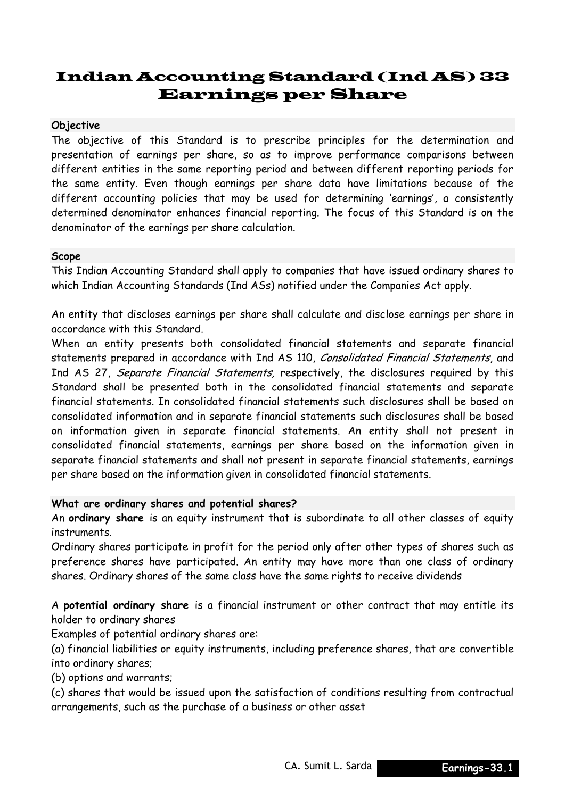# Indian Accounting Standard (Ind AS) 33 Earnings per Share

### **Objective**

The objective of this Standard is to prescribe principles for the determination and presentation of earnings per share, so as to improve performance comparisons between different entities in the same reporting period and between different reporting periods for the same entity. Even though earnings per share data have limitations because of the different accounting policies that may be used for determining 'earnings', a consistently determined denominator enhances financial reporting. The focus of this Standard is on the denominator of the earnings per share calculation.

### **Scope**

This Indian Accounting Standard shall apply to companies that have issued ordinary shares to which Indian Accounting Standards (Ind ASs) notified under the Companies Act apply.

An entity that discloses earnings per share shall calculate and disclose earnings per share in accordance with this Standard.

When an entity presents both consolidated financial statements and separate financial statements prepared in accordance with Ind AS 110, Consolidated Financial Statements, and Ind AS 27, Separate Financial Statements, respectively, the disclosures required by this Standard shall be presented both in the consolidated financial statements and separate financial statements. In consolidated financial statements such disclosures shall be based on consolidated information and in separate financial statements such disclosures shall be based on information given in separate financial statements. An entity shall not present in consolidated financial statements, earnings per share based on the information given in separate financial statements and shall not present in separate financial statements, earnings per share based on the information given in consolidated financial statements.

### **What are ordinary shares and potential shares?**

An **ordinary share** is an equity instrument that is subordinate to all other classes of equity instruments.

Ordinary shares participate in profit for the period only after other types of shares such as preference shares have participated. An entity may have more than one class of ordinary shares. Ordinary shares of the same class have the same rights to receive dividends

A **potential ordinary share** is a financial instrument or other contract that may entitle its holder to ordinary shares

Examples of potential ordinary shares are:

(a) financial liabilities or equity instruments, including preference shares, that are convertible into ordinary shares;

(b) options and warrants;

(c) shares that would be issued upon the satisfaction of conditions resulting from contractual arrangements, such as the purchase of a business or other asset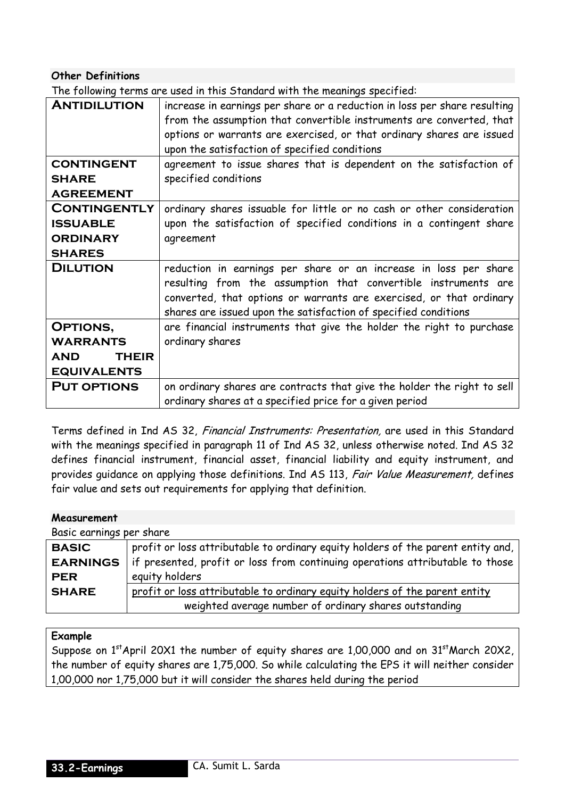### **Other Definitions**

The following terms are used in this Standard with the meanings specified:

|                            | si 1110 ai 6 abba in 111110 bianaara winni 1110 mbanings spoorfice        |
|----------------------------|---------------------------------------------------------------------------|
| <b>ANTIDILUTION</b>        | increase in earnings per share or a reduction in loss per share resulting |
|                            | from the assumption that convertible instruments are converted, that      |
|                            | options or warrants are exercised, or that ordinary shares are issued     |
|                            | upon the satisfaction of specified conditions                             |
| <b>CONTINGENT</b>          | agreement to issue shares that is dependent on the satisfaction of        |
| <b>SHARE</b>               | specified conditions                                                      |
| <b>AGREEMENT</b>           |                                                                           |
| <b>CONTINGENTLY</b>        | ordinary shares issuable for little or no cash or other consideration     |
| <b>ISSUABLE</b>            | upon the satisfaction of specified conditions in a contingent share       |
| <b>ORDINARY</b>            | agreement                                                                 |
| <b>SHARES</b>              |                                                                           |
| <b>DILUTION</b>            | reduction in earnings per share or an increase in loss per share          |
|                            | resulting from the assumption that convertible instruments are            |
|                            | converted, that options or warrants are exercised, or that ordinary       |
|                            | shares are issued upon the satisfaction of specified conditions           |
| OPTIONS,                   | are financial instruments that give the holder the right to purchase      |
| <b>WARRANTS</b>            | ordinary shares                                                           |
| <b>AND</b><br><b>THEIR</b> |                                                                           |
| <b>EQUIVALENTS</b>         |                                                                           |
| <b>PUT OPTIONS</b>         | on ordinary shares are contracts that give the holder the right to sell   |
|                            | ordinary shares at a specified price for a given period                   |

Terms defined in Ind AS 32, *Financial Instruments: Presentation*, are used in this Standard with the meanings specified in paragraph 11 of Ind AS 32, unless otherwise noted. Ind AS 32 defines financial instrument, financial asset, financial liability and equity instrument, and provides guidance on applying those definitions. Ind AS 113, Fair Value Measurement, defines fair value and sets out requirements for applying that definition.

### **Measurement**

Basic earnings per share **basic earnings per share** profit or loss attributable to ordinary equity holders of the parent entity and, if presented, profit or loss from continuing operations attributable to those equity holders profit or loss attributable to ordinary equity holders of the parent entity weighted average number of ordinary shares outstanding

### **Example**

Suppose on  $1^{st}$ April 20X1 the number of equity shares are 1,00,000 and on  $31^{st}$ March 20X2, the number of equity shares are 1,75,000. So while calculating the EPS it will neither consider 1,00,000 nor 1,75,000 but it will consider the shares held during the period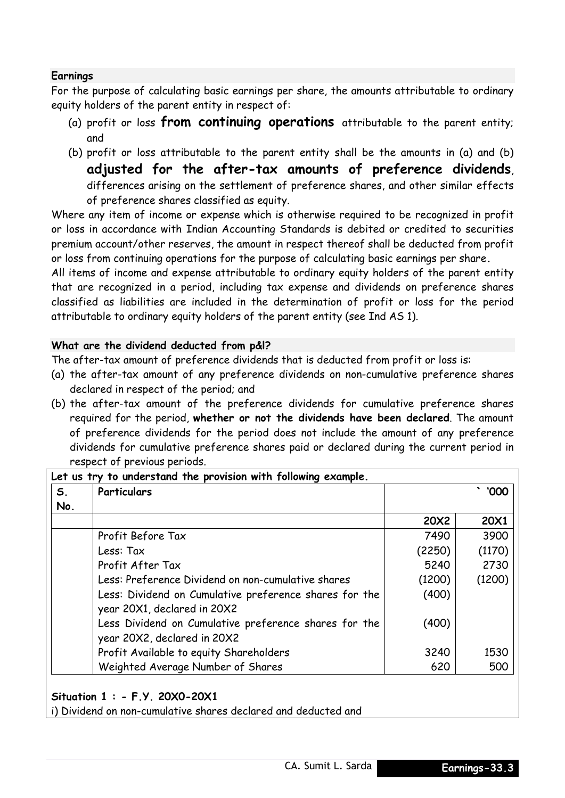## **Earnings**

For the purpose of calculating basic earnings per share, the amounts attributable to ordinary equity holders of the parent entity in respect of:

- (a) profit or loss **from continuing operations** attributable to the parent entity; and
- (b) profit or loss attributable to the parent entity shall be the amounts in (a) and (b) **adjusted for the after-tax amounts of preference dividends**, differences arising on the settlement of preference shares, and other similar effects of preference shares classified as equity.

Where any item of income or expense which is otherwise required to be recognized in profit or loss in accordance with Indian Accounting Standards is debited or credited to securities premium account/other reserves, the amount in respect thereof shall be deducted from profit or loss from continuing operations for the purpose of calculating basic earnings per share**.**

All items of income and expense attributable to ordinary equity holders of the parent entity that are recognized in a period, including tax expense and dividends on preference shares classified as liabilities are included in the determination of profit or loss for the period attributable to ordinary equity holders of the parent entity (see Ind AS 1).

### **What are the dividend deducted from p&l?**

The after-tax amount of preference dividends that is deducted from profit or loss is:

- (a) the after-tax amount of any preference dividends on non-cumulative preference shares declared in respect of the period; and
- (b) the after-tax amount of the preference dividends for cumulative preference shares required for the period, **whether or not the dividends have been declared**. The amount of preference dividends for the period does not include the amount of any preference dividends for cumulative preference shares paid or declared during the current period in respect of previous periods.

| $S_{1}$<br>No. | Particulars                                                                           |        | '000   |
|----------------|---------------------------------------------------------------------------------------|--------|--------|
|                |                                                                                       | 20X2   | 20X1   |
|                | Profit Before Tax                                                                     | 7490   | 3900   |
|                | Less: Tax                                                                             | (2250) | (1170) |
|                | Profit After Tax                                                                      | 5240   | 2730   |
|                | Less: Preference Dividend on non-cumulative shares                                    | (1200) | (1200) |
|                | Less: Dividend on Cumulative preference shares for the<br>year 20X1, declared in 20X2 | (400)  |        |
|                | Less Dividend on Cumulative preference shares for the<br>year 20X2, declared in 20X2  | (400)  |        |
|                | Profit Available to equity Shareholders                                               | 3240   | 1530   |
|                | Weighted Average Number of Shares                                                     | 620    | 500    |

### **Situation 1 : - F.Y. 20X0-20X1**

i) Dividend on non-cumulative shares declared and deducted and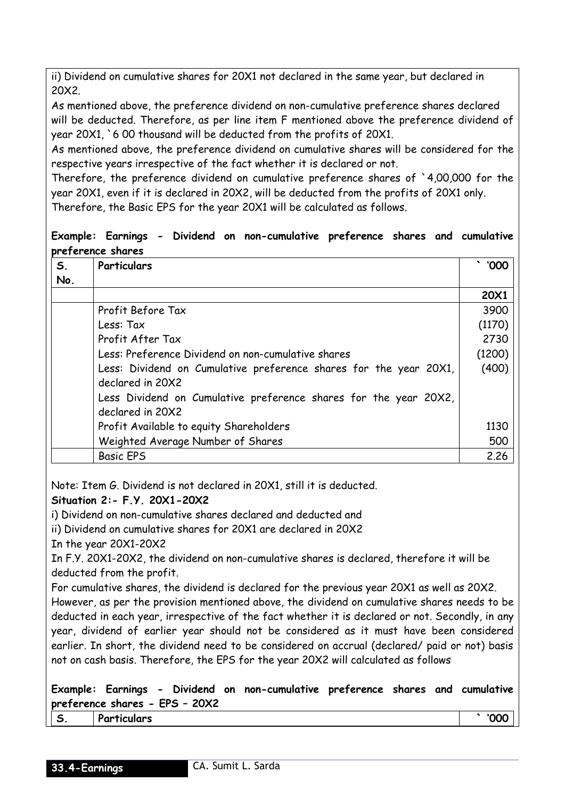ii) Dividend on cumulative shares for 20X1 not declared in the same year, but declared in 20X2.

As mentioned above, the preference dividend on non-cumulative preference shares declared will be deducted. Therefore, as per line item F mentioned above the preference dividend of year 20X1, `6 00 thousand will be deducted from the profits of 20X1.

As mentioned above, the preference dividend on cumulative shares will be considered for the respective years irrespective of the fact whether it is declared or not.

Therefore, the preference dividend on cumulative preference shares of `4,00,000 for the year 20X1, even if it is declared in 20X2, will be deducted from the profits of 20X1 only.

Therefore, the Basic EPS for the year 20X1 will be calculated as follows.

## **Example: Earnings - Dividend on non-cumulative preference shares and cumulative preference shares**

| S <sub>1</sub><br>No. | Particulars                                                                           | '000   |
|-----------------------|---------------------------------------------------------------------------------------|--------|
|                       |                                                                                       | 20X1   |
|                       | Profit Before Tax                                                                     | 3900   |
|                       | Less: Tax                                                                             | (1170) |
|                       | Profit After Tax                                                                      | 2730   |
|                       | Less: Preference Dividend on non-cumulative shares                                    | (1200) |
|                       | Less: Dividend on Cumulative preference shares for the year 20X1,<br>declared in 20X2 | (400)  |
|                       | Less Dividend on Cumulative preference shares for the year 20X2,<br>declared in 20X2  |        |
|                       | Profit Available to equity Shareholders                                               | 1130   |
|                       | Weighted Average Number of Shares                                                     | 500    |
|                       | <b>Basic EPS</b>                                                                      | 2.26   |

Note: Item G. Dividend is not declared in 20X1, still it is deducted.

## **Situation 2:- F.Y. 20X1-20X2**

i) Dividend on non-cumulative shares declared and deducted and

ii) Dividend on cumulative shares for 20X1 are declared in 20X2

In the year 20X1-20X2

In F.Y. 20X1-20X2, the dividend on non-cumulative shares is declared, therefore it will be deducted from the profit.

For cumulative shares, the dividend is declared for the previous year 20X1 as well as 20X2. However, as per the provision mentioned above, the dividend on cumulative shares needs to be deducted in each year, irrespective of the fact whether it is declared or not. Secondly, in any year, dividend of earlier year should not be considered as it must have been considered earlier. In short, the dividend need to be considered on accrual (declared/ paid or not) basis not on cash basis. Therefore, the EPS for the year 20X2 will calculated as follows

## **Example: Earnings - Dividend on non-cumulative preference shares and cumulative preference shares - EPS – 20X2**

**S. Particulars ` '000**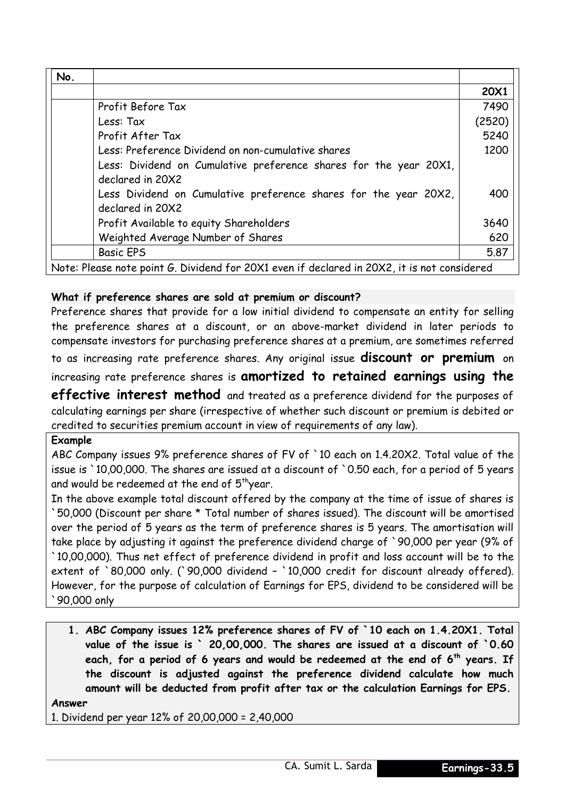| No. |                                                                                             |        |
|-----|---------------------------------------------------------------------------------------------|--------|
|     |                                                                                             | 20X1   |
|     | Profit Before Tax                                                                           | 7490   |
|     | Less: Tax                                                                                   | (2520) |
|     | Profit After Tax                                                                            | 5240   |
|     | Less: Preference Dividend on non-cumulative shares                                          | 1200   |
|     | Less: Dividend on Cumulative preference shares for the year 20X1,                           |        |
|     | declared in 20X2                                                                            |        |
|     | Less Dividend on Cumulative preference shares for the year 20X2,<br>declared in 20X2        | 400    |
|     | Profit Available to equity Shareholders                                                     | 3640   |
|     | Weighted Average Number of Shares                                                           | 620    |
|     | <b>Basic EPS</b>                                                                            | 5.87   |
|     | Note: Please note point G. Dividend for 20X1 even if declared in 20X2, it is not considered |        |

## **What if preference shares are sold at premium or discount?**

Preference shares that provide for a low initial dividend to compensate an entity for selling the preference shares at a discount, or an above-market dividend in later periods to compensate investors for purchasing preference shares at a premium, are sometimes referred to as increasing rate preference shares. Any original issue **discount or premium** on

increasing rate preference shares is **amortized to retained earnings using the** 

**effective interest method** and treated as a preference dividend for the purposes of calculating earnings per share (irrespective of whether such discount or premium is debited or credited to securities premium account in view of requirements of any law).

## **Example**

ABC Company issues 9% preference shares of FV of `10 each on 1.4.20X2. Total value of the issue is `10,00,000. The shares are issued at a discount of `0.50 each, for a period of 5 years and would be redeemed at the end of  $5<sup>th</sup>$ year.

In the above example total discount offered by the company at the time of issue of shares is `50,000 (Discount per share \* Total number of shares issued). The discount will be amortised over the period of 5 years as the term of preference shares is 5 years. The amortisation will take place by adjusting it against the preference dividend charge of `90,000 per year (9% of `10,00,000). Thus net effect of preference dividend in profit and loss account will be to the extent of `80,000 only. (`90,000 dividend - `10,000 credit for discount already offered). However, for the purpose of calculation of Earnings for EPS, dividend to be considered will be `90,000 only

**1. ABC Company issues 12% preference shares of FV of `10 each on 1.4.20X1. Total value of the issue is ` 20,00,000. The shares are issued at a discount of `0.60 each, for a period of 6 years and would be redeemed at the end of 6th years. If the discount is adjusted against the preference dividend calculate how much amount will be deducted from profit after tax or the calculation Earnings for EPS.** 

**Answer**

1. Dividend per year 12% of 20,00,000 = 2,40,000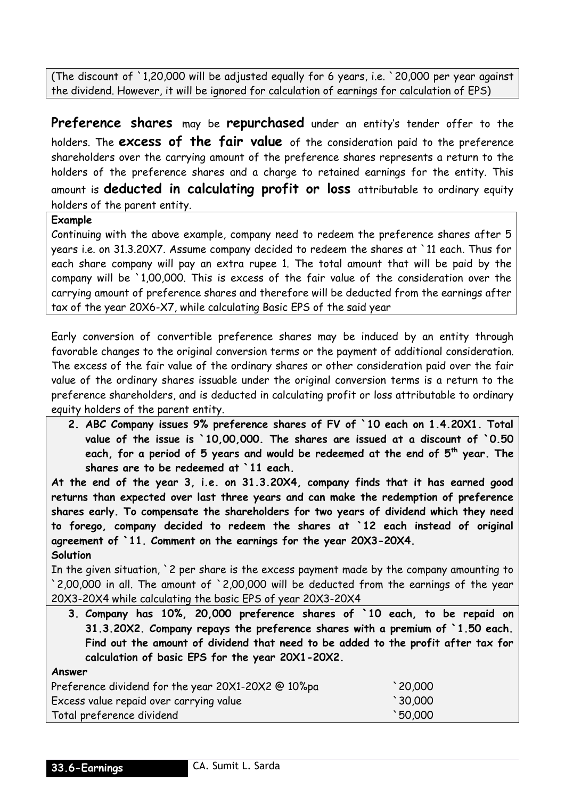(The discount of `1,20,000 will be adjusted equally for 6 years, i.e. `20,000 per year against the dividend. However, it will be ignored for calculation of earnings for calculation of EPS)

**Preference shares** may be **repurchased** under an entity's tender offer to the holders. The **excess of the fair value** of the consideration paid to the preference shareholders over the carrying amount of the preference shares represents a return to the holders of the preference shares and a charge to retained earnings for the entity. This amount is **deducted in calculating profit or loss** attributable to ordinary equity holders of the parent entity.

### **Example**

Continuing with the above example, company need to redeem the preference shares after 5 years i.e. on 31.3.20X7. Assume company decided to redeem the shares at `11 each. Thus for each share company will pay an extra rupee 1. The total amount that will be paid by the company will be `1,00,000. This is excess of the fair value of the consideration over the carrying amount of preference shares and therefore will be deducted from the earnings after tax of the year 20X6-X7, while calculating Basic EPS of the said year

Early conversion of convertible preference shares may be induced by an entity through favorable changes to the original conversion terms or the payment of additional consideration. The excess of the fair value of the ordinary shares or other consideration paid over the fair value of the ordinary shares issuable under the original conversion terms is a return to the preference shareholders, and is deducted in calculating profit or loss attributable to ordinary equity holders of the parent entity.

**2. ABC Company issues 9% preference shares of FV of `10 each on 1.4.20X1. Total value of the issue is `10,00,000. The shares are issued at a discount of `0.50 each, for a period of 5 years and would be redeemed at the end of 5th year. The shares are to be redeemed at `11 each.** 

**At the end of the year 3, i.e. on 31.3.20X4, company finds that it has earned good returns than expected over last three years and can make the redemption of preference shares early. To compensate the shareholders for two years of dividend which they need to forego, company decided to redeem the shares at `12 each instead of original agreement of `11. Comment on the earnings for the year 20X3-20X4. Solution** 

In the given situation, `2 per share is the excess payment made by the company amounting to `2,00,000 in all. The amount of `2,00,000 will be deducted from the earnings of the year 20X3-20X4 while calculating the basic EPS of year 20X3-20X4

**3. Company has 10%, 20,000 preference shares of `10 each, to be repaid on 31.3.20X2. Company repays the preference shares with a premium of `1.50 each. Find out the amount of dividend that need to be added to the profit after tax for calculation of basic EPS for the year 20X1-20X2.** 

### **Answer**

| Preference dividend for the year 20X1-20X2 @ 10%pa | $^{\degree}$ 20,000 |
|----------------------------------------------------|---------------------|
| Excess value repaid over carrying value            | $\degree$ 30,000    |
| Total preference dividend                          | $\degree$ 50,000    |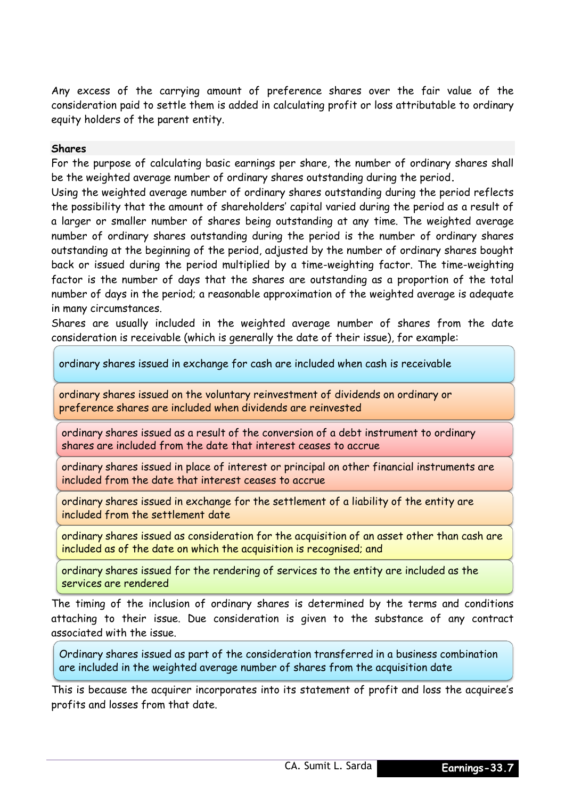Any excess of the carrying amount of preference shares over the fair value of the consideration paid to settle them is added in calculating profit or loss attributable to ordinary equity holders of the parent entity.

### **Shares**

For the purpose of calculating basic earnings per share, the number of ordinary shares shall be the weighted average number of ordinary shares outstanding during the period**.**

Using the weighted average number of ordinary shares outstanding during the period reflects the possibility that the amount of shareholders' capital varied during the period as a result of a larger or smaller number of shares being outstanding at any time. The weighted average number of ordinary shares outstanding during the period is the number of ordinary shares outstanding at the beginning of the period, adjusted by the number of ordinary shares bought back or issued during the period multiplied by a time-weighting factor. The time-weighting factor is the number of days that the shares are outstanding as a proportion of the total number of days in the period; a reasonable approximation of the weighted average is adequate in many circumstances.

Shares are usually included in the weighted average number of shares from the date consideration is receivable (which is generally the date of their issue), for example:

ordinary shares issued in exchange for cash are included when cash is receivable

ordinary shares issued on the voluntary reinvestment of dividends on ordinary or preference shares are included when dividends are reinvested

ordinary shares issued as a result of the conversion of a debt instrument to ordinary shares are included from the date that interest ceases to accrue

ordinary shares issued in place of interest or principal on other financial instruments are included from the date that interest ceases to accrue

ordinary shares issued in exchange for the settlement of a liability of the entity are included from the settlement date

ordinary shares issued as consideration for the acquisition of an asset other than cash are included as of the date on which the acquisition is recognised; and

ordinary shares issued for the rendering of services to the entity are included as the services are rendered

The timing of the inclusion of ordinary shares is determined by the terms and conditions attaching to their issue. Due consideration is given to the substance of any contract associated with the issue.

Ordinary shares issued as part of the consideration transferred in a business combination are included in the weighted average number of shares from the acquisition date

This is because the acquirer incorporates into its statement of profit and loss the acquiree's profits and losses from that date.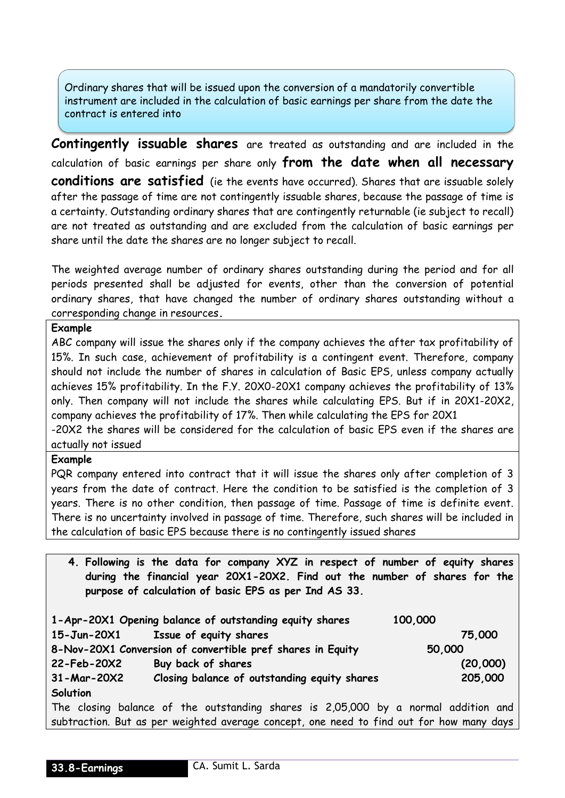Ordinary shares that will be issued upon the conversion of a mandatorily convertible instrument are included in the calculation of basic earnings per share from the date the contract is entered into

**Contingently issuable shares** are treated as outstanding and are included in the calculation of basic earnings per share only **from the date when all necessary conditions are satisfied** (ie the events have occurred). Shares that are issuable solely after the passage of time are not contingently issuable shares, because the passage of time is a certainty. Outstanding ordinary shares that are contingently returnable (ie subject to recall) are not treated as outstanding and are excluded from the calculation of basic earnings per share until the date the shares are no longer subject to recall.

The weighted average number of ordinary shares outstanding during the period and for all periods presented shall be adjusted for events, other than the conversion of potential ordinary shares, that have changed the number of ordinary shares outstanding without a corresponding change in resources**.**

### **Example**

ABC company will issue the shares only if the company achieves the after tax profitability of 15%. In such case, achievement of profitability is a contingent event. Therefore, company should not include the number of shares in calculation of Basic EPS, unless company actually achieves 15% profitability. In the F.Y. 20X0-20X1 company achieves the profitability of 13% only. Then company will not include the shares while calculating EPS. But if in 20X1-20X2, company achieves the profitability of 17%. Then while calculating the EPS for 20X1

-20X2 the shares will be considered for the calculation of basic EPS even if the shares are actually not issued

### **Example**

PQR company entered into contract that it will issue the shares only after completion of 3 years from the date of contract. Here the condition to be satisfied is the completion of 3 years. There is no other condition, then passage of time. Passage of time is definite event. There is no uncertainty involved in passage of time. Therefore, such shares will be included in the calculation of basic EPS because there is no contingently issued shares

**4. Following is the data for company XYZ in respect of number of equity shares during the financial year 20X1-20X2. Find out the number of shares for the purpose of calculation of basic EPS as per Ind AS 33.**

| 1-Apr-20X1 Opening balance of outstanding equity shares | 100,000                                                    |          |
|---------------------------------------------------------|------------------------------------------------------------|----------|
| $15$ -Jun-20 $X1$                                       | Issue of equity shares                                     | 75,000   |
|                                                         | 8-Nov-20X1 Conversion of convertible pref shares in Equity | 50,000   |
| 22-Feb-20X2                                             | Buy back of shares                                         | (20,000) |
| $31 - Mar - 20X2$                                       | Closing balance of outstanding equity shares               | 205,000  |
| Solution                                                |                                                            |          |

The closing balance of the outstanding shares is 2,05,000 by a normal addition and subtraction. But as per weighted average concept, one need to find out for how many days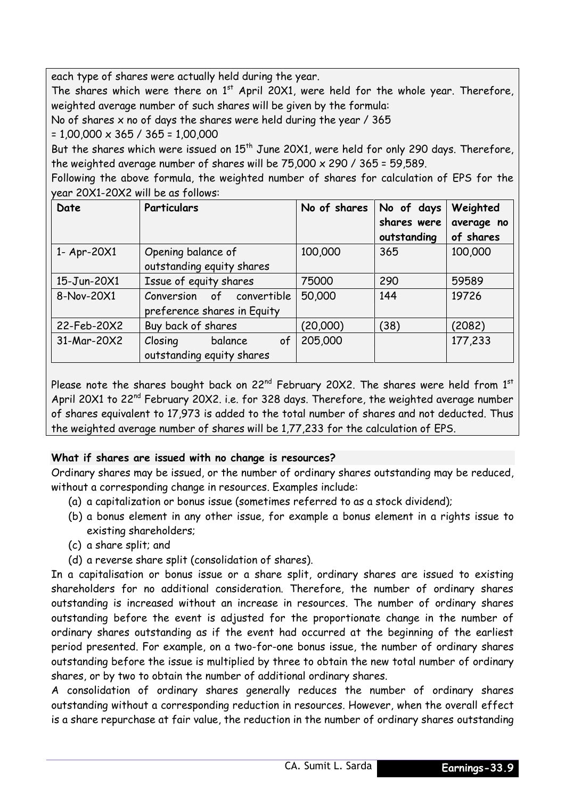each type of shares were actually held during the year.

The shares which were there on  $1<sup>st</sup>$  April 20X1, were held for the whole year. Therefore, weighted average number of such shares will be given by the formula:

No of shares x no of days the shares were held during the year / 365

 $= 1,00,000 \times 365 / 365 = 1,00,000$ 

But the shares which were issued on  $15<sup>th</sup>$  June 20X1, were held for only 290 days. Therefore, the weighted average number of shares will be 75,000 x 290 / 365 = 59,589.

Following the above formula, the weighted number of shares for calculation of EPS for the year 20X1-20X2 will be as follows:

| Date           | Particulars                 | No of shares | No of days  | Weighted   |
|----------------|-----------------------------|--------------|-------------|------------|
|                |                             |              | shares were | average no |
|                |                             |              | outstanding | of shares  |
| 1- Apr-20 $X1$ | Opening balance of          | 100,000      | 365         | 100,000    |
|                | outstanding equity shares   |              |             |            |
| 15-Jun-20X1    | Issue of equity shares      | 75000        | 290         | 59589      |
| 8-Nov-20X1     | Conversion of convertible   | 50,000       | 144         | 19726      |
|                | preference shares in Equity |              |             |            |
| 22-Feb-20X2    | Buy back of shares          | (20,000)     | (38)        | (2082)     |
| 31-Mar-20X2    | balance<br>of<br>Closing    | 205,000      |             | 177,233    |
|                | outstanding equity shares   |              |             |            |

Please note the shares bought back on  $22^{nd}$  February 20X2. The shares were held from  $1^{st}$ April 20X1 to 22<sup>nd</sup> February 20X2, i.e. for 328 days. Therefore, the weighted average number of shares equivalent to 17,973 is added to the total number of shares and not deducted. Thus the weighted average number of shares will be 1,77,233 for the calculation of EPS.

## **What if shares are issued with no change is resources?**

Ordinary shares may be issued, or the number of ordinary shares outstanding may be reduced, without a corresponding change in resources. Examples include:

- (a) a capitalization or bonus issue (sometimes referred to as a stock dividend);
- (b) a bonus element in any other issue, for example a bonus element in a rights issue to existing shareholders;
- (c) a share split; and
- (d) a reverse share split (consolidation of shares).

In a capitalisation or bonus issue or a share split, ordinary shares are issued to existing shareholders for no additional consideration. Therefore, the number of ordinary shares outstanding is increased without an increase in resources. The number of ordinary shares outstanding before the event is adjusted for the proportionate change in the number of ordinary shares outstanding as if the event had occurred at the beginning of the earliest period presented. For example, on a two-for-one bonus issue, the number of ordinary shares outstanding before the issue is multiplied by three to obtain the new total number of ordinary shares, or by two to obtain the number of additional ordinary shares.

A consolidation of ordinary shares generally reduces the number of ordinary shares outstanding without a corresponding reduction in resources. However, when the overall effect is a share repurchase at fair value, the reduction in the number of ordinary shares outstanding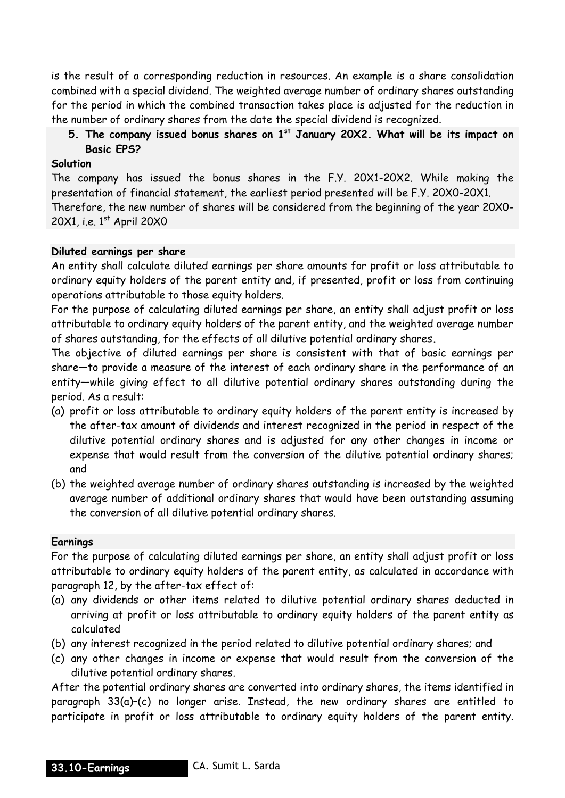is the result of a corresponding reduction in resources. An example is a share consolidation combined with a special dividend. The weighted average number of ordinary shares outstanding for the period in which the combined transaction takes place is adjusted for the reduction in the number of ordinary shares from the date the special dividend is recognized.

## **5. The company issued bonus shares on 1st January 20X2. What will be its impact on Basic EPS?**

### **Solution**

The company has issued the bonus shares in the F.Y. 20X1-20X2. While making the presentation of financial statement, the earliest period presented will be F.Y. 20X0-20X1. Therefore, the new number of shares will be considered from the beginning of the year 20X0- 20X1, i.e.  $1<sup>st</sup>$  April 20X0

### **Diluted earnings per share**

An entity shall calculate diluted earnings per share amounts for profit or loss attributable to ordinary equity holders of the parent entity and, if presented, profit or loss from continuing operations attributable to those equity holders.

For the purpose of calculating diluted earnings per share, an entity shall adjust profit or loss attributable to ordinary equity holders of the parent entity, and the weighted average number of shares outstanding, for the effects of all dilutive potential ordinary shares**.**

The objective of diluted earnings per share is consistent with that of basic earnings per share—to provide a measure of the interest of each ordinary share in the performance of an entity—while giving effect to all dilutive potential ordinary shares outstanding during the period. As a result:

- (a) profit or loss attributable to ordinary equity holders of the parent entity is increased by the after-tax amount of dividends and interest recognized in the period in respect of the dilutive potential ordinary shares and is adjusted for any other changes in income or expense that would result from the conversion of the dilutive potential ordinary shares; and
- (b) the weighted average number of ordinary shares outstanding is increased by the weighted average number of additional ordinary shares that would have been outstanding assuming the conversion of all dilutive potential ordinary shares.

### **Earnings**

For the purpose of calculating diluted earnings per share, an entity shall adjust profit or loss attributable to ordinary equity holders of the parent entity, as calculated in accordance with paragraph 12, by the after-tax effect of:

- (a) any dividends or other items related to dilutive potential ordinary shares deducted in arriving at profit or loss attributable to ordinary equity holders of the parent entity as calculated
- (b) any interest recognized in the period related to dilutive potential ordinary shares; and
- (c) any other changes in income or expense that would result from the conversion of the dilutive potential ordinary shares.

After the potential ordinary shares are converted into ordinary shares, the items identified in paragraph 33(a)–(c) no longer arise. Instead, the new ordinary shares are entitled to participate in profit or loss attributable to ordinary equity holders of the parent entity.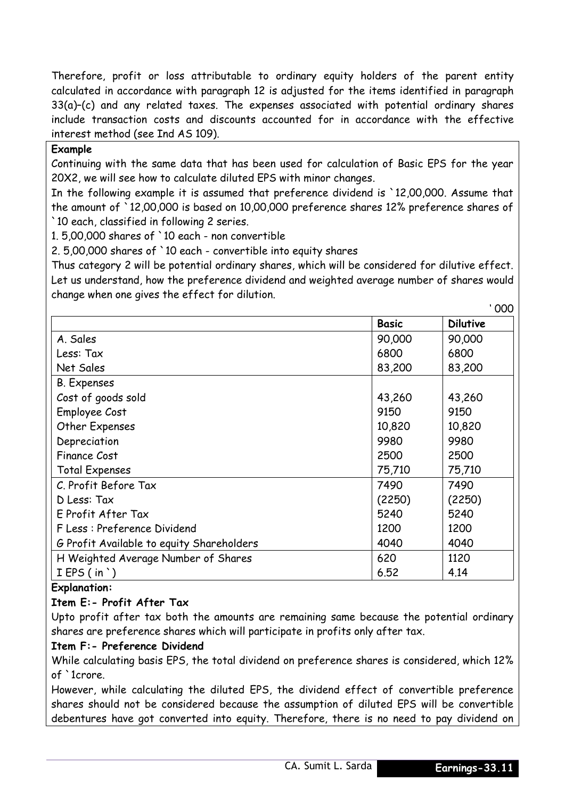Therefore, profit or loss attributable to ordinary equity holders of the parent entity calculated in accordance with paragraph 12 is adjusted for the items identified in paragraph 33(a)–(c) and any related taxes. The expenses associated with potential ordinary shares include transaction costs and discounts accounted for in accordance with the effective interest method (see Ind AS 109).

## **Example**

Continuing with the same data that has been used for calculation of Basic EPS for the year 20X2, we will see how to calculate diluted EPS with minor changes.

In the following example it is assumed that preference dividend is `12,00,000. Assume that the amount of `12,00,000 is based on 10,00,000 preference shares 12% preference shares of `10 each, classified in following 2 series.

1. 5,00,000 shares of `10 each - non convertible

2. 5,00,000 shares of `10 each - convertible into equity shares

Thus category 2 will be potential ordinary shares, which will be considered for dilutive effect. Let us understand, how the preference dividend and weighted average number of shares would change when one gives the effect for dilution.

|                                           |              | vvv.            |
|-------------------------------------------|--------------|-----------------|
|                                           | <b>Basic</b> | <b>Dilutive</b> |
| A. Sales                                  | 90,000       | 90,000          |
| Less: Tax                                 | 6800         | 6800            |
| Net Sales                                 | 83,200       | 83,200          |
| <b>B.</b> Expenses                        |              |                 |
| Cost of goods sold                        | 43,260       | 43,260          |
| Employee Cost                             | 9150         | 9150            |
| Other Expenses                            | 10,820       | 10,820          |
| Depreciation                              | 9980         | 9980            |
| <b>Finance Cost</b>                       | 2500         | 2500            |
| <b>Total Expenses</b>                     | 75,710       | 75,710          |
| C. Profit Before Tax                      | 7490         | 7490            |
| D Less: Tax                               | (2250)       | (2250)          |
| E Profit After Tax                        | 5240         | 5240            |
| F Less: Preference Dividend               | 1200         | 1200            |
| G Profit Available to equity Shareholders | 4040         | 4040            |
| H Weighted Average Number of Shares       | 620          | 1120            |
| IEPS(in')                                 | 6.52         | 4.14            |

## **Explanation:**

### **Item E:- Profit After Tax**

Upto profit after tax both the amounts are remaining same because the potential ordinary shares are preference shares which will participate in profits only after tax.

### **Item F:- Preference Dividend**

While calculating basis EPS, the total dividend on preference shares is considered, which 12% of `1crore.

However, while calculating the diluted EPS, the dividend effect of convertible preference shares should not be considered because the assumption of diluted EPS will be convertible debentures have got converted into equity. Therefore, there is no need to pay dividend on

 $'$  000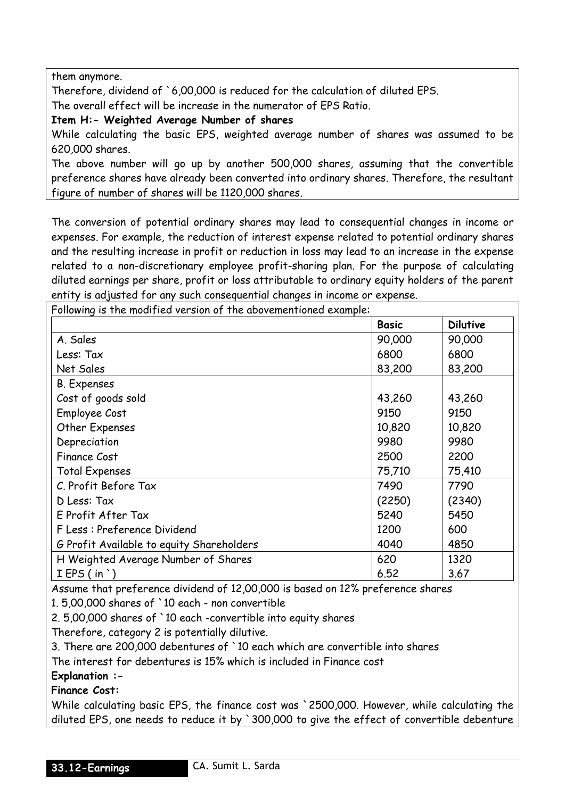them anymore.

Therefore, dividend of `6,00,000 is reduced for the calculation of diluted EPS.

The overall effect will be increase in the numerator of EPS Ratio.

**Item H:- Weighted Average Number of shares** 

While calculating the basic EPS, weighted average number of shares was assumed to be 620,000 shares.

The above number will go up by another 500,000 shares, assuming that the convertible preference shares have already been converted into ordinary shares. Therefore, the resultant figure of number of shares will be 1120,000 shares.

The conversion of potential ordinary shares may lead to consequential changes in income or expenses. For example, the reduction of interest expense related to potential ordinary shares and the resulting increase in profit or reduction in loss may lead to an increase in the expense related to a non-discretionary employee profit-sharing plan. For the purpose of calculating diluted earnings per share, profit or loss attributable to ordinary equity holders of the parent entity is adjusted for any such consequential changes in income or expense.

Following is the modified version of the abovementioned example:

|                                           | <b>Basic</b> | <b>Dilutive</b> |
|-------------------------------------------|--------------|-----------------|
| A. Sales                                  | 90,000       | 90,000          |
| Less: Tax                                 | 6800         | 6800            |
| Net Sales                                 | 83,200       | 83,200          |
| <b>B.</b> Expenses                        |              |                 |
| Cost of goods sold                        | 43,260       | 43,260          |
| Employee Cost                             | 9150         | 9150            |
| Other Expenses                            | 10,820       | 10,820          |
| Depreciation                              | 9980         | 9980            |
| Finance Cost                              | 2500         | 2200            |
| <b>Total Expenses</b>                     | 75,710       | 75,410          |
| C. Profit Before Tax                      | 7490         | 7790            |
| D Less: Tax                               | (2250)       | (2340)          |
| E Profit After Tax                        | 5240         | 5450            |
| F Less: Preference Dividend               | 1200         | 600             |
| G Profit Available to equity Shareholders | 4040         | 4850            |
| H Weighted Average Number of Shares       | 620          | 1320            |
| IEPS(in')                                 | 6.52         | 3.67            |

Assume that preference dividend of 12,00,000 is based on 12% preference shares

1. 5,00,000 shares of `10 each - non convertible

2. 5,00,000 shares of `10 each -convertible into equity shares

Therefore, category 2 is potentially dilutive.

3. There are 200,000 debentures of `10 each which are convertible into shares

The interest for debentures is 15% which is included in Finance cost

### **Explanation :-**

## **Finance Cost:**

While calculating basic EPS, the finance cost was `2500,000. However, while calculating the diluted EPS, one needs to reduce it by `300,000 to give the effect of convertible debenture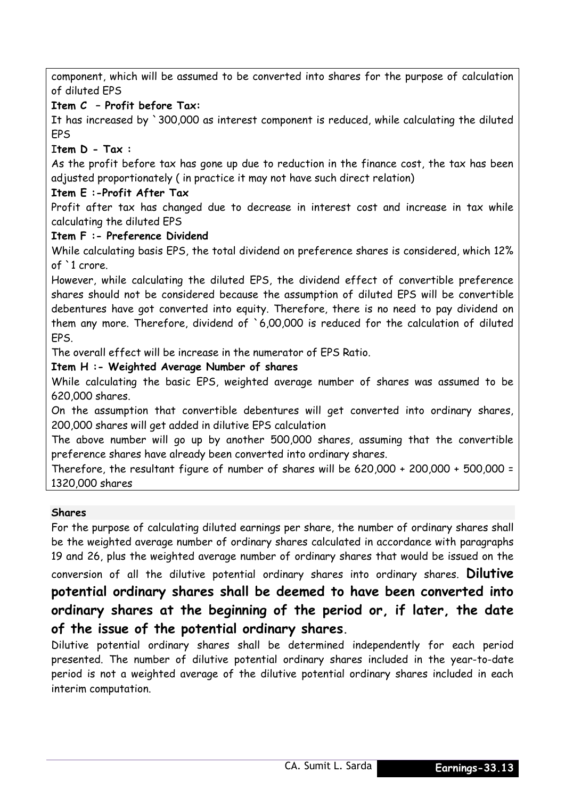component, which will be assumed to be converted into shares for the purpose of calculation of diluted EPS

## **Item C – Profit before Tax:**

It has increased by `300,000 as interest component is reduced, while calculating the diluted EPS

## I**tem D - Tax :**

As the profit before tax has gone up due to reduction in the finance cost, the tax has been adjusted proportionately ( in practice it may not have such direct relation)

## **Item E :-Profit After Tax**

Profit after tax has changed due to decrease in interest cost and increase in tax while calculating the diluted EPS

## **Item F :- Preference Dividend**

While calculating basis EPS, the total dividend on preference shares is considered, which 12% of `1 crore.

However, while calculating the diluted EPS, the dividend effect of convertible preference shares should not be considered because the assumption of diluted EPS will be convertible debentures have got converted into equity. Therefore, there is no need to pay dividend on them any more. Therefore, dividend of `6,00,000 is reduced for the calculation of diluted EPS.

The overall effect will be increase in the numerator of EPS Ratio.

## **Item H :- Weighted Average Number of shares**

While calculating the basic EPS, weighted average number of shares was assumed to be 620,000 shares.

On the assumption that convertible debentures will get converted into ordinary shares, 200,000 shares will get added in dilutive EPS calculation

The above number will go up by another 500,000 shares, assuming that the convertible preference shares have already been converted into ordinary shares.

Therefore, the resultant figure of number of shares will be  $620,000 + 200,000 + 500,000 =$ 1320,000 shares

### **Shares**

For the purpose of calculating diluted earnings per share, the number of ordinary shares shall be the weighted average number of ordinary shares calculated in accordance with paragraphs 19 and 26, plus the weighted average number of ordinary shares that would be issued on the conversion of all the dilutive potential ordinary shares into ordinary shares. **Dilutive potential ordinary shares shall be deemed to have been converted into ordinary shares at the beginning of the period or, if later, the date** 

## **of the issue of the potential ordinary shares.**

Dilutive potential ordinary shares shall be determined independently for each period presented. The number of dilutive potential ordinary shares included in the year-to-date period is not a weighted average of the dilutive potential ordinary shares included in each interim computation.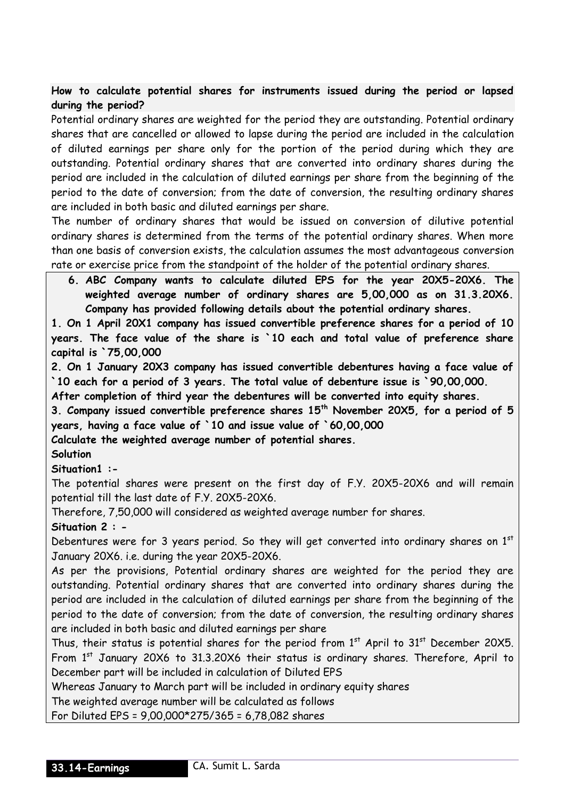## **How to calculate potential shares for instruments issued during the period or lapsed during the period?**

Potential ordinary shares are weighted for the period they are outstanding. Potential ordinary shares that are cancelled or allowed to lapse during the period are included in the calculation of diluted earnings per share only for the portion of the period during which they are outstanding. Potential ordinary shares that are converted into ordinary shares during the period are included in the calculation of diluted earnings per share from the beginning of the period to the date of conversion; from the date of conversion, the resulting ordinary shares are included in both basic and diluted earnings per share.

The number of ordinary shares that would be issued on conversion of dilutive potential ordinary shares is determined from the terms of the potential ordinary shares. When more than one basis of conversion exists, the calculation assumes the most advantageous conversion rate or exercise price from the standpoint of the holder of the potential ordinary shares.

**6. ABC Company wants to calculate diluted EPS for the year 20X5-20X6. The weighted average number of ordinary shares are 5,00,000 as on 31.3.20X6. Company has provided following details about the potential ordinary shares.**

**1. On 1 April 20X1 company has issued convertible preference shares for a period of 10 years. The face value of the share is `10 each and total value of preference share capital is `75,00,000** 

**2. On 1 January 20X3 company has issued convertible debentures having a face value of `10 each for a period of 3 years. The total value of debenture issue is `90,00,000.** 

**After completion of third year the debentures will be converted into equity shares.** 

**3. Company issued convertible preference shares 15th November 20X5, for a period of 5 years, having a face value of `10 and issue value of `60,00,000** 

**Calculate the weighted average number of potential shares.**

**Solution** 

**Situation1 :-**

The potential shares were present on the first day of F.Y. 20X5-20X6 and will remain potential till the last date of F.Y. 20X5-20X6.

Therefore, 7,50,000 will considered as weighted average number for shares.

**Situation 2 : -**

Debentures were for 3 years period. So they will get converted into ordinary shares on 1st January 20X6. i.e. during the year 20X5-20X6.

As per the provisions, Potential ordinary shares are weighted for the period they are outstanding. Potential ordinary shares that are converted into ordinary shares during the period are included in the calculation of diluted earnings per share from the beginning of the period to the date of conversion; from the date of conversion, the resulting ordinary shares are included in both basic and diluted earnings per share

Thus, their status is potential shares for the period from  $1<sup>st</sup>$  April to  $31<sup>st</sup>$  December 20X5. From 1<sup>st</sup> January 20X6 to 31.3.20X6 their status is ordinary shares. Therefore, April to December part will be included in calculation of Diluted EPS

Whereas January to March part will be included in ordinary equity shares

The weighted average number will be calculated as follows

For Diluted EPS = 9,00,000\*275/365 = 6,78,082 shares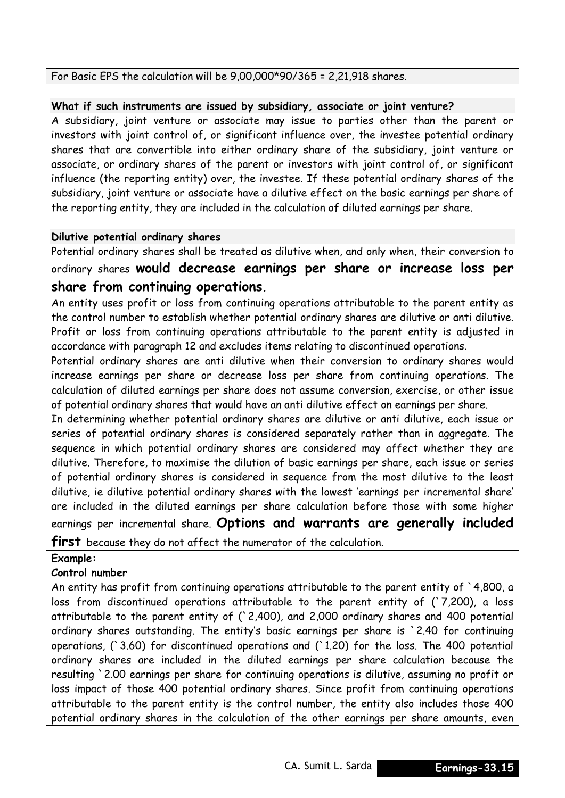### For Basic EPS the calculation will be 9,00,000\*90/365 = 2,21,918 shares.

## **What if such instruments are issued by subsidiary, associate or joint venture?**

A subsidiary, joint venture or associate may issue to parties other than the parent or investors with joint control of, or significant influence over, the investee potential ordinary shares that are convertible into either ordinary share of the subsidiary, joint venture or associate, or ordinary shares of the parent or investors with joint control of, or significant influence (the reporting entity) over, the investee. If these potential ordinary shares of the subsidiary, joint venture or associate have a dilutive effect on the basic earnings per share of the reporting entity, they are included in the calculation of diluted earnings per share.

### **Dilutive potential ordinary shares**

Potential ordinary shares shall be treated as dilutive when, and only when, their conversion to ordinary shares **would decrease earnings per share or increase loss per share from continuing operations.**

An entity uses profit or loss from continuing operations attributable to the parent entity as the control number to establish whether potential ordinary shares are dilutive or anti dilutive. Profit or loss from continuing operations attributable to the parent entity is adjusted in accordance with paragraph 12 and excludes items relating to discontinued operations.

Potential ordinary shares are anti dilutive when their conversion to ordinary shares would increase earnings per share or decrease loss per share from continuing operations. The calculation of diluted earnings per share does not assume conversion, exercise, or other issue of potential ordinary shares that would have an anti dilutive effect on earnings per share.

In determining whether potential ordinary shares are dilutive or anti dilutive, each issue or series of potential ordinary shares is considered separately rather than in aggregate. The sequence in which potential ordinary shares are considered may affect whether they are dilutive. Therefore, to maximise the dilution of basic earnings per share, each issue or series of potential ordinary shares is considered in sequence from the most dilutive to the least dilutive, ie dilutive potential ordinary shares with the lowest ‗earnings per incremental share' are included in the diluted earnings per share calculation before those with some higher earnings per incremental share. **Options and warrants are generally included**

**first** because they do not affect the numerator of the calculation.

### **Example:**

## **Control number**

An entity has profit from continuing operations attributable to the parent entity of `4,800, a loss from discontinued operations attributable to the parent entity of (`7,200), a loss attributable to the parent entity of (`2,400), and 2,000 ordinary shares and 400 potential ordinary shares outstanding. The entity's basic earnings per share is `2.40 for continuing operations, (`3.60) for discontinued operations and (`1.20) for the loss. The 400 potential ordinary shares are included in the diluted earnings per share calculation because the resulting `2.00 earnings per share for continuing operations is dilutive, assuming no profit or loss impact of those 400 potential ordinary shares. Since profit from continuing operations attributable to the parent entity is the control number, the entity also includes those 400 potential ordinary shares in the calculation of the other earnings per share amounts, even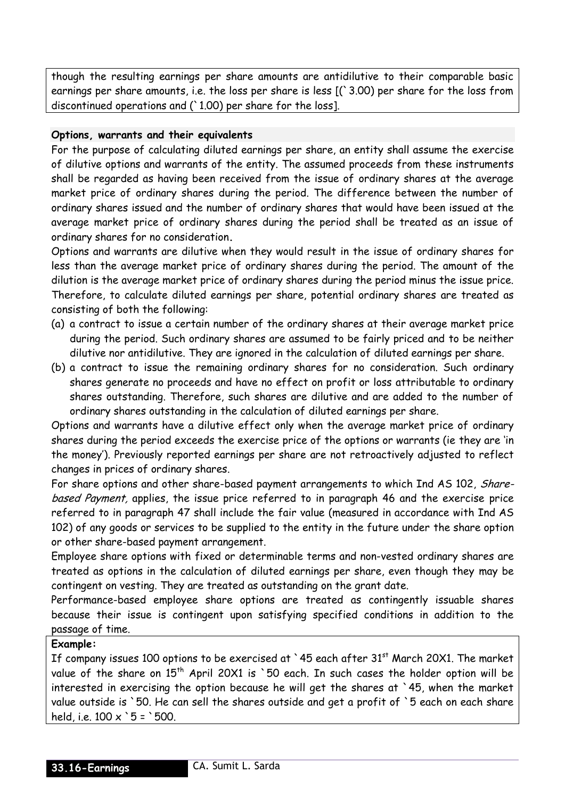though the resulting earnings per share amounts are antidilutive to their comparable basic earnings per share amounts, i.e. the loss per share is less [(`3.00) per share for the loss from discontinued operations and (`1.00) per share for the loss].

### **Options, warrants and their equivalents**

For the purpose of calculating diluted earnings per share, an entity shall assume the exercise of dilutive options and warrants of the entity. The assumed proceeds from these instruments shall be regarded as having been received from the issue of ordinary shares at the average market price of ordinary shares during the period. The difference between the number of ordinary shares issued and the number of ordinary shares that would have been issued at the average market price of ordinary shares during the period shall be treated as an issue of ordinary shares for no consideration**.**

Options and warrants are dilutive when they would result in the issue of ordinary shares for less than the average market price of ordinary shares during the period. The amount of the dilution is the average market price of ordinary shares during the period minus the issue price. Therefore, to calculate diluted earnings per share, potential ordinary shares are treated as consisting of both the following:

- (a) a contract to issue a certain number of the ordinary shares at their average market price during the period. Such ordinary shares are assumed to be fairly priced and to be neither dilutive nor antidilutive. They are ignored in the calculation of diluted earnings per share.
- (b) a contract to issue the remaining ordinary shares for no consideration. Such ordinary shares generate no proceeds and have no effect on profit or loss attributable to ordinary shares outstanding. Therefore, such shares are dilutive and are added to the number of ordinary shares outstanding in the calculation of diluted earnings per share.

Options and warrants have a dilutive effect only when the average market price of ordinary shares during the period exceeds the exercise price of the options or warrants (ie they are 'in the money'). Previously reported earnings per share are not retroactively adjusted to reflect changes in prices of ordinary shares.

For share options and other share-based payment arrangements to which Ind AS 102, Sharebased Payment, applies, the issue price referred to in paragraph 46 and the exercise price referred to in paragraph 47 shall include the fair value (measured in accordance with Ind AS 102) of any goods or services to be supplied to the entity in the future under the share option or other share-based payment arrangement.

Employee share options with fixed or determinable terms and non-vested ordinary shares are treated as options in the calculation of diluted earnings per share, even though they may be contingent on vesting. They are treated as outstanding on the grant date.

Performance-based employee share options are treated as contingently issuable shares because their issue is contingent upon satisfying specified conditions in addition to the passage of time.

### **Example:**

If company issues 100 options to be exercised at  $45$  each after 31<sup>st</sup> March 20X1. The market value of the share on  $15<sup>th</sup>$  April 20X1 is `50 each. In such cases the holder option will be interested in exercising the option because he will get the shares at `45, when the market value outside is `50. He can sell the shares outside and get a profit of `5 each on each share held, i.e.  $100 \times 5 = 500$ .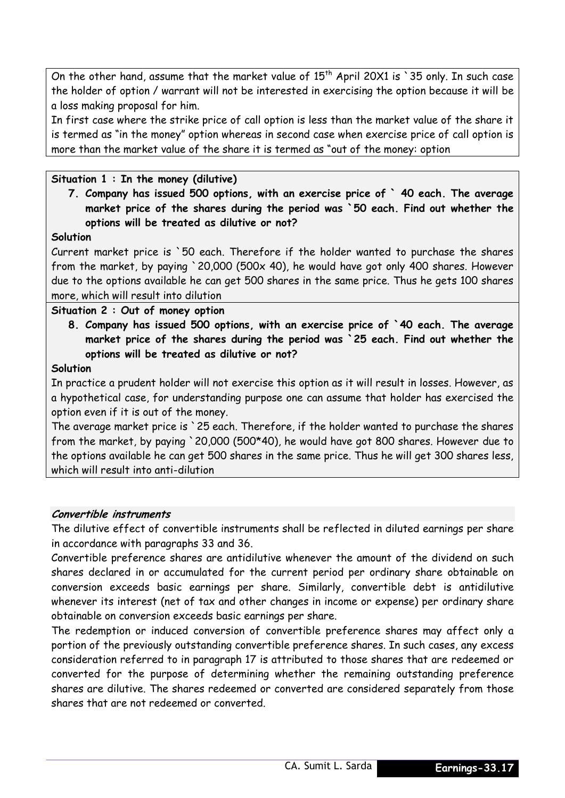On the other hand, assume that the market value of 15<sup>th</sup> April 20X1 is `35 only. In such case the holder of option / warrant will not be interested in exercising the option because it will be a loss making proposal for him.

In first case where the strike price of call option is less than the market value of the share it is termed as "in the money" option whereas in second case when exercise price of call option is more than the market value of the share it is termed as "out of the money: option

## **Situation 1 : In the money (dilutive)**

**7. Company has issued 500 options, with an exercise price of ` 40 each. The average market price of the shares during the period was `50 each. Find out whether the options will be treated as dilutive or not?** 

### **Solution**

Current market price is `50 each. Therefore if the holder wanted to purchase the shares from the market, by paying `20,000 (500x 40), he would have got only 400 shares. However due to the options available he can get 500 shares in the same price. Thus he gets 100 shares more, which will result into dilution

### **Situation 2 : Out of money option**

**8. Company has issued 500 options, with an exercise price of `40 each. The average market price of the shares during the period was `25 each. Find out whether the options will be treated as dilutive or not?** 

### **Solution**

In practice a prudent holder will not exercise this option as it will result in losses. However, as a hypothetical case, for understanding purpose one can assume that holder has exercised the option even if it is out of the money.

The average market price is `25 each. Therefore, if the holder wanted to purchase the shares from the market, by paying `20,000 (500\*40), he would have got 800 shares. However due to the options available he can get 500 shares in the same price. Thus he will get 300 shares less, which will result into anti-dilution

### **Convertible instruments**

The dilutive effect of convertible instruments shall be reflected in diluted earnings per share in accordance with paragraphs 33 and 36.

Convertible preference shares are antidilutive whenever the amount of the dividend on such shares declared in or accumulated for the current period per ordinary share obtainable on conversion exceeds basic earnings per share. Similarly, convertible debt is antidilutive whenever its interest (net of tax and other changes in income or expense) per ordinary share obtainable on conversion exceeds basic earnings per share.

The redemption or induced conversion of convertible preference shares may affect only a portion of the previously outstanding convertible preference shares. In such cases, any excess consideration referred to in paragraph 17 is attributed to those shares that are redeemed or converted for the purpose of determining whether the remaining outstanding preference shares are dilutive. The shares redeemed or converted are considered separately from those shares that are not redeemed or converted.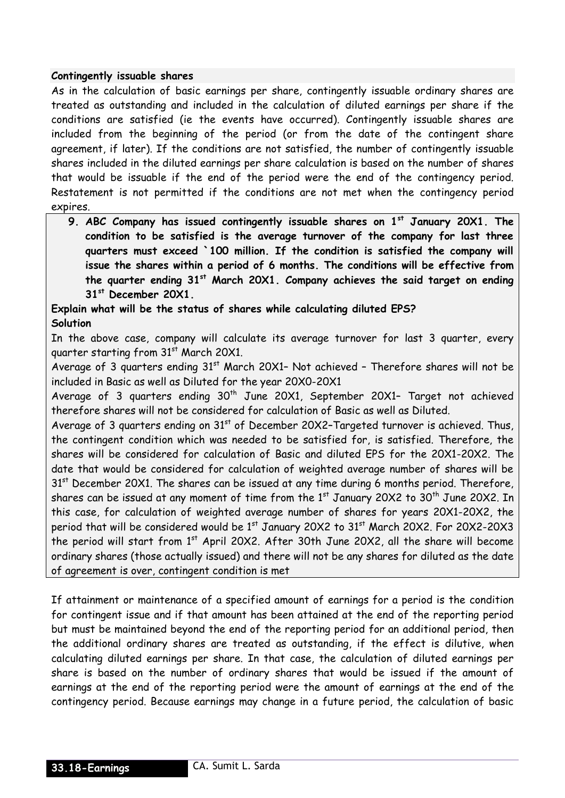### **Contingently issuable shares**

As in the calculation of basic earnings per share, contingently issuable ordinary shares are treated as outstanding and included in the calculation of diluted earnings per share if the conditions are satisfied (ie the events have occurred). Contingently issuable shares are included from the beginning of the period (or from the date of the contingent share agreement, if later). If the conditions are not satisfied, the number of contingently issuable shares included in the diluted earnings per share calculation is based on the number of shares that would be issuable if the end of the period were the end of the contingency period. Restatement is not permitted if the conditions are not met when the contingency period expires.

**9. ABC Company has issued contingently issuable shares on 1st January 20X1. The condition to be satisfied is the average turnover of the company for last three quarters must exceed `100 million. If the condition is satisfied the company will issue the shares within a period of 6 months. The conditions will be effective from the quarter ending 31st March 20X1. Company achieves the said target on ending 31st December 20X1.** 

## **Explain what will be the status of shares while calculating diluted EPS? Solution**

In the above case, company will calculate its average turnover for last 3 quarter, every quarter starting from  $31<sup>st</sup>$  March 20X1.

Average of 3 quarters ending  $31<sup>st</sup>$  March 20X1- Not achieved - Therefore shares will not be included in Basic as well as Diluted for the year 20X0-20X1

Average of 3 guarters ending 30<sup>th</sup> June 20X1, September 20X1- Target not achieved therefore shares will not be considered for calculation of Basic as well as Diluted.

Average of 3 quarters ending on  $31<sup>st</sup>$  of December 20X2-Targeted turnover is achieved. Thus, the contingent condition which was needed to be satisfied for, is satisfied. Therefore, the shares will be considered for calculation of Basic and diluted EPS for the 20X1-20X2. The date that would be considered for calculation of weighted average number of shares will be 31<sup>st</sup> December 20X1. The shares can be issued at any time during 6 months period. Therefore, shares can be issued at any moment of time from the  $1<sup>st</sup>$  January 20X2 to 30<sup>th</sup> June 20X2. In this case, for calculation of weighted average number of shares for years 20X1-20X2, the period that will be considered would be  $1<sup>st</sup>$  January 20X2 to 31 $<sup>st</sup>$  March 20X2. For 20X2-20X3</sup> the period will start from 1<sup>st</sup> April 20X2. After 30th June 20X2, all the share will become ordinary shares (those actually issued) and there will not be any shares for diluted as the date of agreement is over, contingent condition is met

If attainment or maintenance of a specified amount of earnings for a period is the condition for contingent issue and if that amount has been attained at the end of the reporting period but must be maintained beyond the end of the reporting period for an additional period, then the additional ordinary shares are treated as outstanding, if the effect is dilutive, when calculating diluted earnings per share. In that case, the calculation of diluted earnings per share is based on the number of ordinary shares that would be issued if the amount of earnings at the end of the reporting period were the amount of earnings at the end of the contingency period. Because earnings may change in a future period, the calculation of basic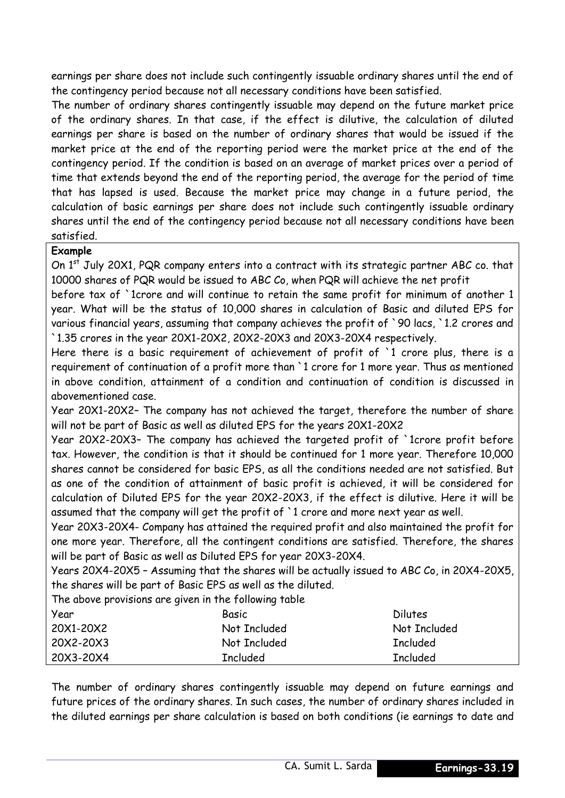earnings per share does not include such contingently issuable ordinary shares until the end of the contingency period because not all necessary conditions have been satisfied.

The number of ordinary shares contingently issuable may depend on the future market price of the ordinary shares. In that case, if the effect is dilutive, the calculation of diluted earnings per share is based on the number of ordinary shares that would be issued if the market price at the end of the reporting period were the market price at the end of the contingency period. If the condition is based on an average of market prices over a period of time that extends beyond the end of the reporting period, the average for the period of time that has lapsed is used. Because the market price may change in a future period, the calculation of basic earnings per share does not include such contingently issuable ordinary shares until the end of the contingency period because not all necessary conditions have been satisfied.

### **Example**

On 1<sup>st</sup> July 20X1, PQR company enters into a contract with its strategic partner ABC co. that 10000 shares of PQR would be issued to ABC Co, when PQR will achieve the net profit

before tax of `1crore and will continue to retain the same profit for minimum of another 1 year. What will be the status of 10,000 shares in calculation of Basic and diluted EPS for various financial years, assuming that company achieves the profit of `90 lacs, `1.2 crores and `1.35 crores in the year 20X1-20X2, 20X2-20X3 and 20X3-20X4 respectively.

Here there is a basic requirement of achievement of profit of `1 crore plus, there is a requirement of continuation of a profit more than `1 crore for 1 more year. Thus as mentioned in above condition, attainment of a condition and continuation of condition is discussed in abovementioned case.

Year 20X1-20X2– The company has not achieved the target, therefore the number of share will not be part of Basic as well as diluted EPS for the years 20X1-20X2

Year 20X2-20X3– The company has achieved the targeted profit of `1crore profit before tax. However, the condition is that it should be continued for 1 more year. Therefore 10,000 shares cannot be considered for basic EPS, as all the conditions needed are not satisfied. But as one of the condition of attainment of basic profit is achieved, it will be considered for calculation of Diluted EPS for the year 20X2-20X3, if the effect is dilutive. Here it will be assumed that the company will get the profit of `1 crore and more next year as well.

Year 20X3-20X4- Company has attained the required profit and also maintained the profit for one more year. Therefore, all the contingent conditions are satisfied. Therefore, the shares will be part of Basic as well as Diluted EPS for year 20X3-20X4.

Years 20X4-20X5 – Assuming that the shares will be actually issued to ABC Co, in 20X4-20X5, the shares will be part of Basic EPS as well as the diluted.

The above provisions are given in the following table

| Year      | Basic           | Dilutes         |
|-----------|-----------------|-----------------|
| 20X1-20X2 | Not Included    | Not Included    |
| 20X2-20X3 | Not Included    | <b>Included</b> |
| 20X3-20X4 | <b>Included</b> | <b>Included</b> |

The number of ordinary shares contingently issuable may depend on future earnings and future prices of the ordinary shares. In such cases, the number of ordinary shares included in the diluted earnings per share calculation is based on both conditions (ie earnings to date and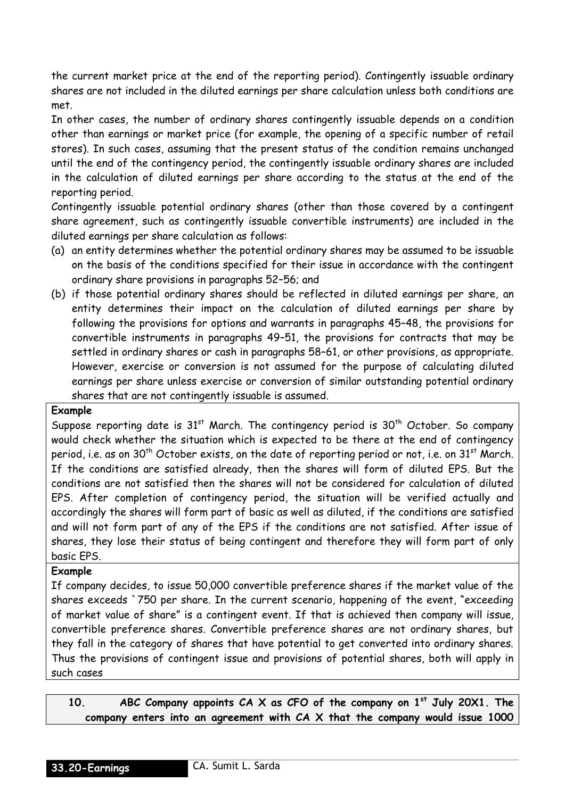the current market price at the end of the reporting period). Contingently issuable ordinary shares are not included in the diluted earnings per share calculation unless both conditions are met.

In other cases, the number of ordinary shares contingently issuable depends on a condition other than earnings or market price (for example, the opening of a specific number of retail stores). In such cases, assuming that the present status of the condition remains unchanged until the end of the contingency period, the contingently issuable ordinary shares are included in the calculation of diluted earnings per share according to the status at the end of the reporting period.

Contingently issuable potential ordinary shares (other than those covered by a contingent share agreement, such as contingently issuable convertible instruments) are included in the diluted earnings per share calculation as follows:

- (a) an entity determines whether the potential ordinary shares may be assumed to be issuable on the basis of the conditions specified for their issue in accordance with the contingent ordinary share provisions in paragraphs 52–56; and
- (b) if those potential ordinary shares should be reflected in diluted earnings per share, an entity determines their impact on the calculation of diluted earnings per share by following the provisions for options and warrants in paragraphs 45–48, the provisions for convertible instruments in paragraphs 49–51, the provisions for contracts that may be settled in ordinary shares or cash in paragraphs 58–61, or other provisions, as appropriate. However, exercise or conversion is not assumed for the purpose of calculating diluted earnings per share unless exercise or conversion of similar outstanding potential ordinary shares that are not contingently issuable is assumed.

### **Example**

Suppose reporting date is  $31<sup>st</sup>$  March. The contingency period is  $30<sup>th</sup>$  October. So company would check whether the situation which is expected to be there at the end of contingency period, i.e. as on 30<sup>th</sup> October exists, on the date of reporting period or not, i.e. on 31<sup>st</sup> March. If the conditions are satisfied already, then the shares will form of diluted EPS. But the conditions are not satisfied then the shares will not be considered for calculation of diluted EPS. After completion of contingency period, the situation will be verified actually and accordingly the shares will form part of basic as well as diluted, if the conditions are satisfied and will not form part of any of the EPS if the conditions are not satisfied. After issue of shares, they lose their status of being contingent and therefore they will form part of only basic EPS.

### **Example**

If company decides, to issue 50,000 convertible preference shares if the market value of the shares exceeds `750 per share. In the current scenario, happening of the event, "exceeding of market value of share" is a contingent event. If that is achieved then company will issue, convertible preference shares. Convertible preference shares are not ordinary shares, but they fall in the category of shares that have potential to get converted into ordinary shares. Thus the provisions of contingent issue and provisions of potential shares, both will apply in such cases

**10. ABC Company appoints CA X as CFO of the company on 1st July 20X1. The company enters into an agreement with CA X that the company would issue 1000**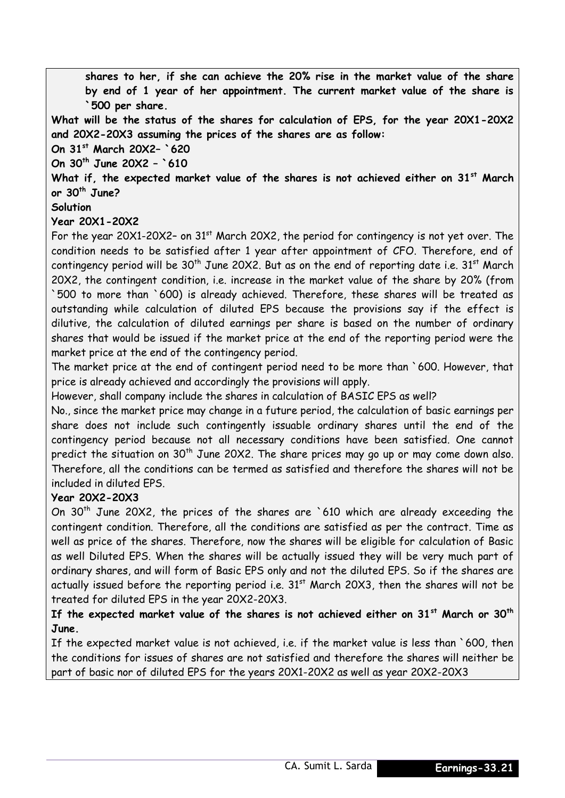**shares to her, if she can achieve the 20% rise in the market value of the share by end of 1 year of her appointment. The current market value of the share is `500 per share.** 

**What will be the status of the shares for calculation of EPS, for the year 20X1-20X2 and 20X2-20X3 assuming the prices of the shares are as follow:**

**On 31st March 20X2– `620** 

**On 30th June 20X2 – `610** 

**What if, the expected market value of the shares is not achieved either on 31st March or 30th June?**

### **Solution**

### **Year 20X1-20X2**

For the year 20X1-20X2- on  $31^{st}$  March 20X2, the period for contingency is not yet over. The condition needs to be satisfied after 1 year after appointment of CFO. Therefore, end of contingency period will be  $30<sup>th</sup>$  June 20X2. But as on the end of reporting date i.e.  $31<sup>st</sup>$  March 20X2, the contingent condition, i.e. increase in the market value of the share by 20% (from `500 to more than `600) is already achieved. Therefore, these shares will be treated as outstanding while calculation of diluted EPS because the provisions say if the effect is dilutive, the calculation of diluted earnings per share is based on the number of ordinary shares that would be issued if the market price at the end of the reporting period were the market price at the end of the contingency period.

The market price at the end of contingent period need to be more than `600. However, that price is already achieved and accordingly the provisions will apply.

However, shall company include the shares in calculation of BASIC EPS as well?

No., since the market price may change in a future period, the calculation of basic earnings per share does not include such contingently issuable ordinary shares until the end of the contingency period because not all necessary conditions have been satisfied. One cannot predict the situation on  $30<sup>th</sup>$  June 20X2. The share prices may go up or may come down also. Therefore, all the conditions can be termed as satisfied and therefore the shares will not be included in diluted EPS.

### **Year 20X2-20X3**

On 30th June 20X2, the prices of the shares are `610 which are already exceeding the contingent condition. Therefore, all the conditions are satisfied as per the contract. Time as well as price of the shares. Therefore, now the shares will be eligible for calculation of Basic as well Diluted EPS. When the shares will be actually issued they will be very much part of ordinary shares, and will form of Basic EPS only and not the diluted EPS. So if the shares are actually issued before the reporting period i.e.  $31<sup>st</sup>$  March 20X3, then the shares will not be treated for diluted EPS in the year 20X2-20X3.

**If the expected market value of the shares is not achieved either on 31st March or 30th June.** 

If the expected market value is not achieved, i.e. if the market value is less than `600, then the conditions for issues of shares are not satisfied and therefore the shares will neither be part of basic nor of diluted EPS for the years 20X1-20X2 as well as year 20X2-20X3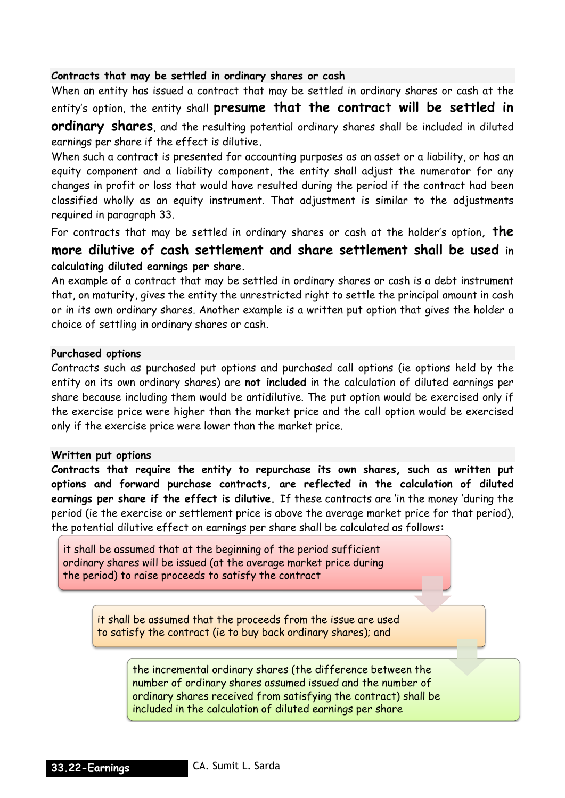### **Contracts that may be settled in ordinary shares or cash**

When an entity has issued a contract that may be settled in ordinary shares or cash at the entity's option, the entity shall **presume that the contract will be settled in ordinary shares**, and the resulting potential ordinary shares shall be included in diluted earnings per share if the effect is dilutive**.**

When such a contract is presented for accounting purposes as an asset or a liability, or has an equity component and a liability component, the entity shall adjust the numerator for any changes in profit or loss that would have resulted during the period if the contract had been classified wholly as an equity instrument. That adjustment is similar to the adjustments required in paragraph 33.

For contracts that may be settled in ordinary shares or cash at the holder's option**, the** 

**more dilutive of cash settlement and share settlement shall be used in calculating diluted earnings per share.**

An example of a contract that may be settled in ordinary shares or cash is a debt instrument that, on maturity, gives the entity the unrestricted right to settle the principal amount in cash or in its own ordinary shares. Another example is a written put option that gives the holder a choice of settling in ordinary shares or cash.

#### **Purchased options**

Contracts such as purchased put options and purchased call options (ie options held by the entity on its own ordinary shares) are **not included** in the calculation of diluted earnings per share because including them would be antidilutive. The put option would be exercised only if the exercise price were higher than the market price and the call option would be exercised only if the exercise price were lower than the market price.

#### **Written put options**

**Contracts that require the entity to repurchase its own shares, such as written put options and forward purchase contracts, are reflected in the calculation of diluted** earnings per share if the effect is dilutive. If these contracts are 'in the money 'during the period (ie the exercise or settlement price is above the average market price for that period), the potential dilutive effect on earnings per share shall be calculated as follows**:**

it shall be assumed that at the beginning of the period sufficient ordinary shares will be issued (at the average market price during the period) to raise proceeds to satisfy the contract

> it shall be assumed that the proceeds from the issue are used to satisfy the contract (ie to buy back ordinary shares); and

> > the incremental ordinary shares (the difference between the number of ordinary shares assumed issued and the number of ordinary shares received from satisfying the contract) shall be included in the calculation of diluted earnings per share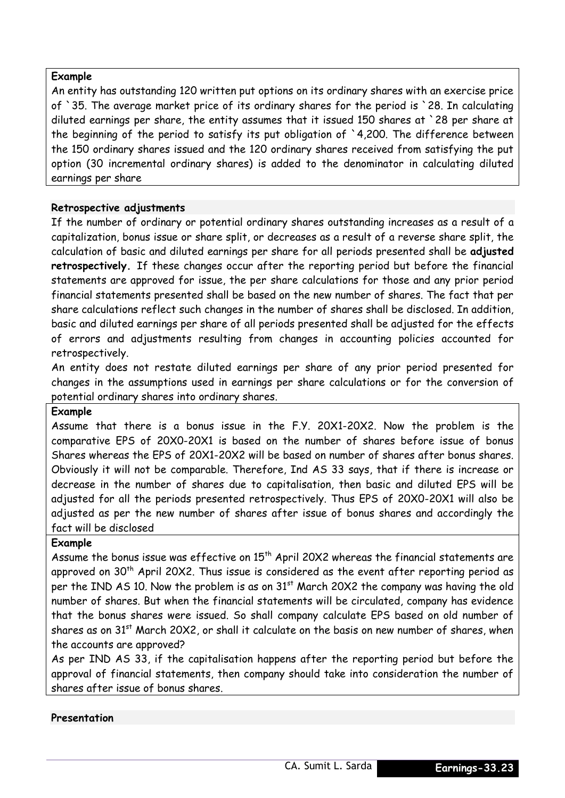### **Example**

An entity has outstanding 120 written put options on its ordinary shares with an exercise price of `35. The average market price of its ordinary shares for the period is `28. In calculating diluted earnings per share, the entity assumes that it issued 150 shares at `28 per share at the beginning of the period to satisfy its put obligation of `4,200. The difference between the 150 ordinary shares issued and the 120 ordinary shares received from satisfying the put option (30 incremental ordinary shares) is added to the denominator in calculating diluted earnings per share

### **Retrospective adjustments**

If the number of ordinary or potential ordinary shares outstanding increases as a result of a capitalization, bonus issue or share split, or decreases as a result of a reverse share split, the calculation of basic and diluted earnings per share for all periods presented shall be **adjusted retrospectively.** If these changes occur after the reporting period but before the financial statements are approved for issue, the per share calculations for those and any prior period financial statements presented shall be based on the new number of shares. The fact that per share calculations reflect such changes in the number of shares shall be disclosed. In addition, basic and diluted earnings per share of all periods presented shall be adjusted for the effects of errors and adjustments resulting from changes in accounting policies accounted for retrospectively.

An entity does not restate diluted earnings per share of any prior period presented for changes in the assumptions used in earnings per share calculations or for the conversion of potential ordinary shares into ordinary shares.

### **Example**

Assume that there is a bonus issue in the F.Y. 20X1-20X2. Now the problem is the comparative EPS of 20X0-20X1 is based on the number of shares before issue of bonus Shares whereas the EPS of 20X1-20X2 will be based on number of shares after bonus shares. Obviously it will not be comparable. Therefore, Ind AS 33 says, that if there is increase or decrease in the number of shares due to capitalisation, then basic and diluted EPS will be adjusted for all the periods presented retrospectively. Thus EPS of 20X0-20X1 will also be adjusted as per the new number of shares after issue of bonus shares and accordingly the fact will be disclosed

### **Example**

Assume the bonus issue was effective on  $15<sup>th</sup>$  April 20X2 whereas the financial statements are approved on  $30<sup>th</sup>$  April 20X2. Thus issue is considered as the event after reporting period as per the IND AS 10. Now the problem is as on  $31<sup>st</sup>$  March 20X2 the company was having the old number of shares. But when the financial statements will be circulated, company has evidence that the bonus shares were issued. So shall company calculate EPS based on old number of shares as on  $31^{st}$  March 20X2, or shall it calculate on the basis on new number of shares, when the accounts are approved?

As per IND AS 33, if the capitalisation happens after the reporting period but before the approval of financial statements, then company should take into consideration the number of shares after issue of bonus shares.

### **Presentation**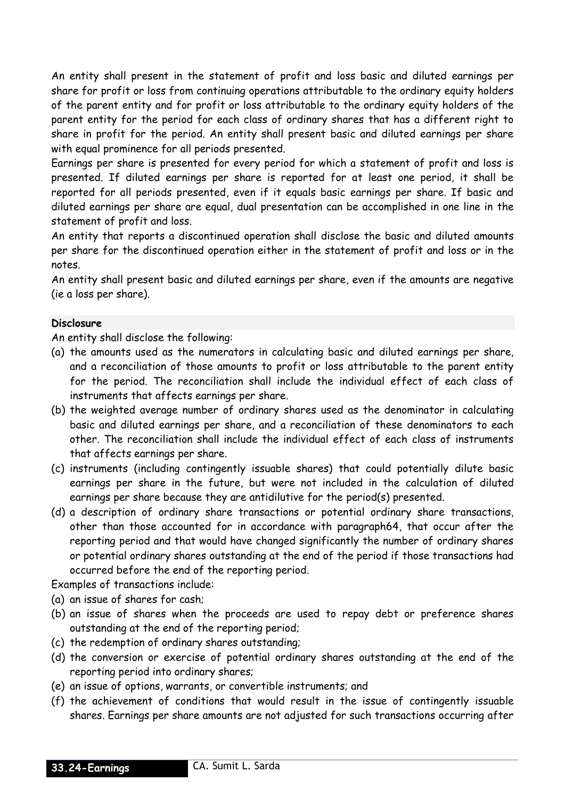An entity shall present in the statement of profit and loss basic and diluted earnings per share for profit or loss from continuing operations attributable to the ordinary equity holders of the parent entity and for profit or loss attributable to the ordinary equity holders of the parent entity for the period for each class of ordinary shares that has a different right to share in profit for the period. An entity shall present basic and diluted earnings per share with equal prominence for all periods presented.

Earnings per share is presented for every period for which a statement of profit and loss is presented. If diluted earnings per share is reported for at least one period, it shall be reported for all periods presented, even if it equals basic earnings per share. If basic and diluted earnings per share are equal, dual presentation can be accomplished in one line in the statement of profit and loss.

An entity that reports a discontinued operation shall disclose the basic and diluted amounts per share for the discontinued operation either in the statement of profit and loss or in the notes.

An entity shall present basic and diluted earnings per share, even if the amounts are negative (ie a loss per share).

### **Disclosure**

An entity shall disclose the following:

- (a) the amounts used as the numerators in calculating basic and diluted earnings per share, and a reconciliation of those amounts to profit or loss attributable to the parent entity for the period. The reconciliation shall include the individual effect of each class of instruments that affects earnings per share.
- (b) the weighted average number of ordinary shares used as the denominator in calculating basic and diluted earnings per share, and a reconciliation of these denominators to each other. The reconciliation shall include the individual effect of each class of instruments that affects earnings per share.
- (c) instruments (including contingently issuable shares) that could potentially dilute basic earnings per share in the future, but were not included in the calculation of diluted earnings per share because they are antidilutive for the period(s) presented.
- (d) a description of ordinary share transactions or potential ordinary share transactions, other than those accounted for in accordance with paragraph64, that occur after the reporting period and that would have changed significantly the number of ordinary shares or potential ordinary shares outstanding at the end of the period if those transactions had occurred before the end of the reporting period.

Examples of transactions include:

- (a) an issue of shares for cash;
- (b) an issue of shares when the proceeds are used to repay debt or preference shares outstanding at the end of the reporting period;
- (c) the redemption of ordinary shares outstanding;
- (d) the conversion or exercise of potential ordinary shares outstanding at the end of the reporting period into ordinary shares;
- (e) an issue of options, warrants, or convertible instruments; and
- (f) the achievement of conditions that would result in the issue of contingently issuable shares. Earnings per share amounts are not adjusted for such transactions occurring after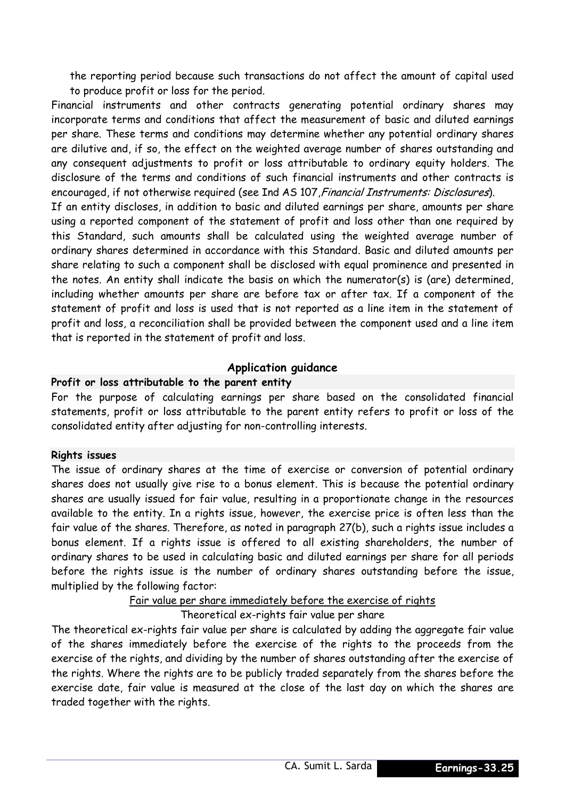the reporting period because such transactions do not affect the amount of capital used to produce profit or loss for the period.

Financial instruments and other contracts generating potential ordinary shares may incorporate terms and conditions that affect the measurement of basic and diluted earnings per share. These terms and conditions may determine whether any potential ordinary shares are dilutive and, if so, the effect on the weighted average number of shares outstanding and any consequent adjustments to profit or loss attributable to ordinary equity holders. The disclosure of the terms and conditions of such financial instruments and other contracts is encouraged, if not otherwise required (see Ind AS 107, Financial Instruments: Disclosures).

If an entity discloses, in addition to basic and diluted earnings per share, amounts per share using a reported component of the statement of profit and loss other than one required by this Standard, such amounts shall be calculated using the weighted average number of ordinary shares determined in accordance with this Standard. Basic and diluted amounts per share relating to such a component shall be disclosed with equal prominence and presented in the notes. An entity shall indicate the basis on which the numerator(s) is (are) determined, including whether amounts per share are before tax or after tax. If a component of the statement of profit and loss is used that is not reported as a line item in the statement of profit and loss, a reconciliation shall be provided between the component used and a line item that is reported in the statement of profit and loss.

## **Application guidance**

### **Profit or loss attributable to the parent entity**

For the purpose of calculating earnings per share based on the consolidated financial statements, profit or loss attributable to the parent entity refers to profit or loss of the consolidated entity after adjusting for non-controlling interests.

### **Rights issues**

The issue of ordinary shares at the time of exercise or conversion of potential ordinary shares does not usually give rise to a bonus element. This is because the potential ordinary shares are usually issued for fair value, resulting in a proportionate change in the resources available to the entity. In a rights issue, however, the exercise price is often less than the fair value of the shares. Therefore, as noted in paragraph 27(b), such a rights issue includes a bonus element. If a rights issue is offered to all existing shareholders, the number of ordinary shares to be used in calculating basic and diluted earnings per share for all periods before the rights issue is the number of ordinary shares outstanding before the issue, multiplied by the following factor:

## Fair value per share immediately before the exercise of rights

Theoretical ex-rights fair value per share

The theoretical ex-rights fair value per share is calculated by adding the aggregate fair value of the shares immediately before the exercise of the rights to the proceeds from the exercise of the rights, and dividing by the number of shares outstanding after the exercise of the rights. Where the rights are to be publicly traded separately from the shares before the exercise date, fair value is measured at the close of the last day on which the shares are traded together with the rights.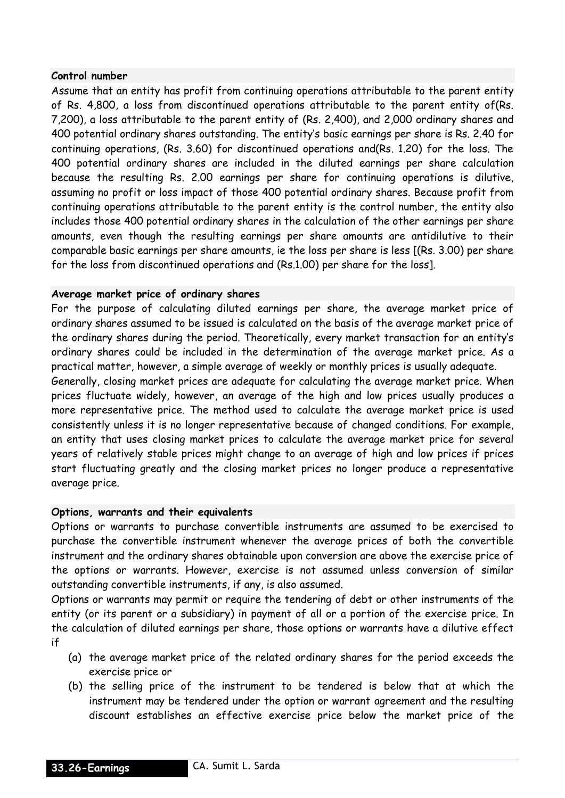### **Control number**

Assume that an entity has profit from continuing operations attributable to the parent entity of Rs. 4,800, a loss from discontinued operations attributable to the parent entity of(Rs. 7,200), a loss attributable to the parent entity of (Rs. 2,400), and 2,000 ordinary shares and 400 potential ordinary shares outstanding. The entity's basic earnings per share is Rs. 2.40 for continuing operations, (Rs. 3.60) for discontinued operations and(Rs. 1.20) for the loss. The 400 potential ordinary shares are included in the diluted earnings per share calculation because the resulting Rs. 2.00 earnings per share for continuing operations is dilutive, assuming no profit or loss impact of those 400 potential ordinary shares. Because profit from continuing operations attributable to the parent entity is the control number, the entity also includes those 400 potential ordinary shares in the calculation of the other earnings per share amounts, even though the resulting earnings per share amounts are antidilutive to their comparable basic earnings per share amounts, ie the loss per share is less [(Rs. 3.00) per share for the loss from discontinued operations and (Rs.1.00) per share for the loss].

### **Average market price of ordinary shares**

For the purpose of calculating diluted earnings per share, the average market price of ordinary shares assumed to be issued is calculated on the basis of the average market price of the ordinary shares during the period. Theoretically, every market transaction for an entity's ordinary shares could be included in the determination of the average market price. As a practical matter, however, a simple average of weekly or monthly prices is usually adequate.

Generally, closing market prices are adequate for calculating the average market price. When prices fluctuate widely, however, an average of the high and low prices usually produces a more representative price. The method used to calculate the average market price is used consistently unless it is no longer representative because of changed conditions. For example, an entity that uses closing market prices to calculate the average market price for several years of relatively stable prices might change to an average of high and low prices if prices start fluctuating greatly and the closing market prices no longer produce a representative average price.

### **Options, warrants and their equivalents**

Options or warrants to purchase convertible instruments are assumed to be exercised to purchase the convertible instrument whenever the average prices of both the convertible instrument and the ordinary shares obtainable upon conversion are above the exercise price of the options or warrants. However, exercise is not assumed unless conversion of similar outstanding convertible instruments, if any, is also assumed.

Options or warrants may permit or require the tendering of debt or other instruments of the entity (or its parent or a subsidiary) in payment of all or a portion of the exercise price. In the calculation of diluted earnings per share, those options or warrants have a dilutive effect if

- (a) the average market price of the related ordinary shares for the period exceeds the exercise price or
- (b) the selling price of the instrument to be tendered is below that at which the instrument may be tendered under the option or warrant agreement and the resulting discount establishes an effective exercise price below the market price of the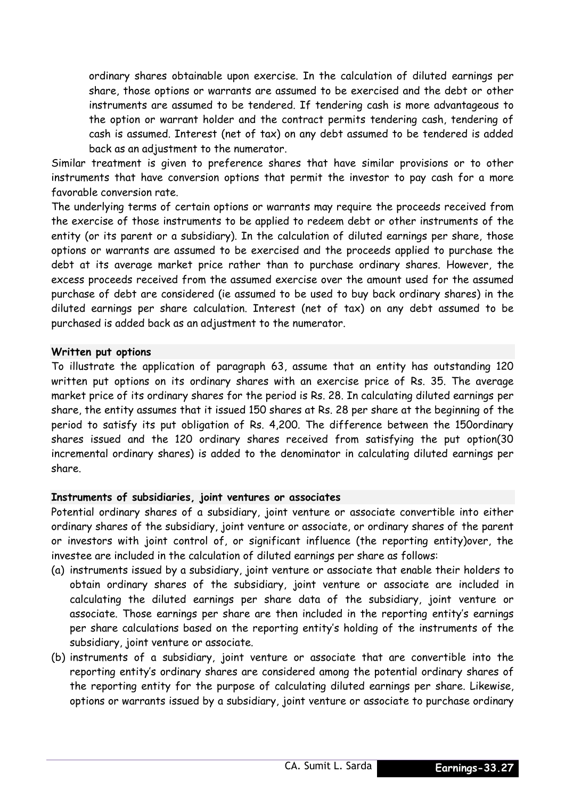ordinary shares obtainable upon exercise. In the calculation of diluted earnings per share, those options or warrants are assumed to be exercised and the debt or other instruments are assumed to be tendered. If tendering cash is more advantageous to the option or warrant holder and the contract permits tendering cash, tendering of cash is assumed. Interest (net of tax) on any debt assumed to be tendered is added back as an adjustment to the numerator.

Similar treatment is given to preference shares that have similar provisions or to other instruments that have conversion options that permit the investor to pay cash for a more favorable conversion rate.

The underlying terms of certain options or warrants may require the proceeds received from the exercise of those instruments to be applied to redeem debt or other instruments of the entity (or its parent or a subsidiary). In the calculation of diluted earnings per share, those options or warrants are assumed to be exercised and the proceeds applied to purchase the debt at its average market price rather than to purchase ordinary shares. However, the excess proceeds received from the assumed exercise over the amount used for the assumed purchase of debt are considered (ie assumed to be used to buy back ordinary shares) in the diluted earnings per share calculation. Interest (net of tax) on any debt assumed to be purchased is added back as an adjustment to the numerator.

### **Written put options**

To illustrate the application of paragraph 63, assume that an entity has outstanding 120 written put options on its ordinary shares with an exercise price of Rs. 35. The average market price of its ordinary shares for the period is Rs. 28. In calculating diluted earnings per share, the entity assumes that it issued 150 shares at Rs. 28 per share at the beginning of the period to satisfy its put obligation of Rs. 4,200. The difference between the 150ordinary shares issued and the 120 ordinary shares received from satisfying the put option(30 incremental ordinary shares) is added to the denominator in calculating diluted earnings per share.

### **Instruments of subsidiaries, joint ventures or associates**

Potential ordinary shares of a subsidiary, joint venture or associate convertible into either ordinary shares of the subsidiary, joint venture or associate, or ordinary shares of the parent or investors with joint control of, or significant influence (the reporting entity)over, the investee are included in the calculation of diluted earnings per share as follows:

- (a) instruments issued by a subsidiary, joint venture or associate that enable their holders to obtain ordinary shares of the subsidiary, joint venture or associate are included in calculating the diluted earnings per share data of the subsidiary, joint venture or associate. Those earnings per share are then included in the reporting entity's earnings per share calculations based on the reporting entity's holding of the instruments of the subsidiary, joint venture or associate.
- (b) instruments of a subsidiary, joint venture or associate that are convertible into the reporting entity's ordinary shares are considered among the potential ordinary shares of the reporting entity for the purpose of calculating diluted earnings per share. Likewise, options or warrants issued by a subsidiary, joint venture or associate to purchase ordinary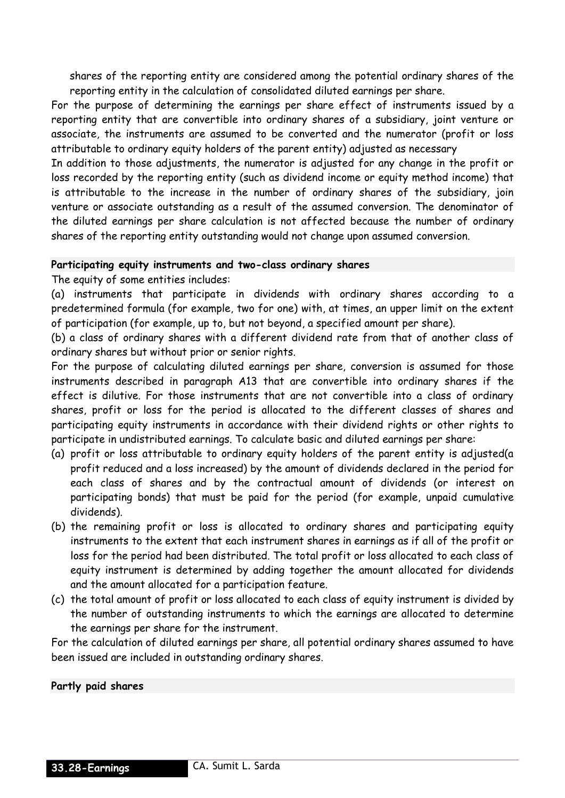shares of the reporting entity are considered among the potential ordinary shares of the reporting entity in the calculation of consolidated diluted earnings per share.

For the purpose of determining the earnings per share effect of instruments issued by a reporting entity that are convertible into ordinary shares of a subsidiary, joint venture or associate, the instruments are assumed to be converted and the numerator (profit or loss attributable to ordinary equity holders of the parent entity) adjusted as necessary

In addition to those adjustments, the numerator is adjusted for any change in the profit or loss recorded by the reporting entity (such as dividend income or equity method income) that is attributable to the increase in the number of ordinary shares of the subsidiary, join venture or associate outstanding as a result of the assumed conversion. The denominator of the diluted earnings per share calculation is not affected because the number of ordinary shares of the reporting entity outstanding would not change upon assumed conversion.

### **Participating equity instruments and two-class ordinary shares**

The equity of some entities includes:

(a) instruments that participate in dividends with ordinary shares according to a predetermined formula (for example, two for one) with, at times, an upper limit on the extent of participation (for example, up to, but not beyond, a specified amount per share).

(b) a class of ordinary shares with a different dividend rate from that of another class of ordinary shares but without prior or senior rights.

For the purpose of calculating diluted earnings per share, conversion is assumed for those instruments described in paragraph A13 that are convertible into ordinary shares if the effect is dilutive. For those instruments that are not convertible into a class of ordinary shares, profit or loss for the period is allocated to the different classes of shares and participating equity instruments in accordance with their dividend rights or other rights to participate in undistributed earnings. To calculate basic and diluted earnings per share:

- (a) profit or loss attributable to ordinary equity holders of the parent entity is adjusted(a profit reduced and a loss increased) by the amount of dividends declared in the period for each class of shares and by the contractual amount of dividends (or interest on participating bonds) that must be paid for the period (for example, unpaid cumulative dividends).
- (b) the remaining profit or loss is allocated to ordinary shares and participating equity instruments to the extent that each instrument shares in earnings as if all of the profit or loss for the period had been distributed. The total profit or loss allocated to each class of equity instrument is determined by adding together the amount allocated for dividends and the amount allocated for a participation feature.
- (c) the total amount of profit or loss allocated to each class of equity instrument is divided by the number of outstanding instruments to which the earnings are allocated to determine the earnings per share for the instrument.

For the calculation of diluted earnings per share, all potential ordinary shares assumed to have been issued are included in outstanding ordinary shares.

#### **Partly paid shares**